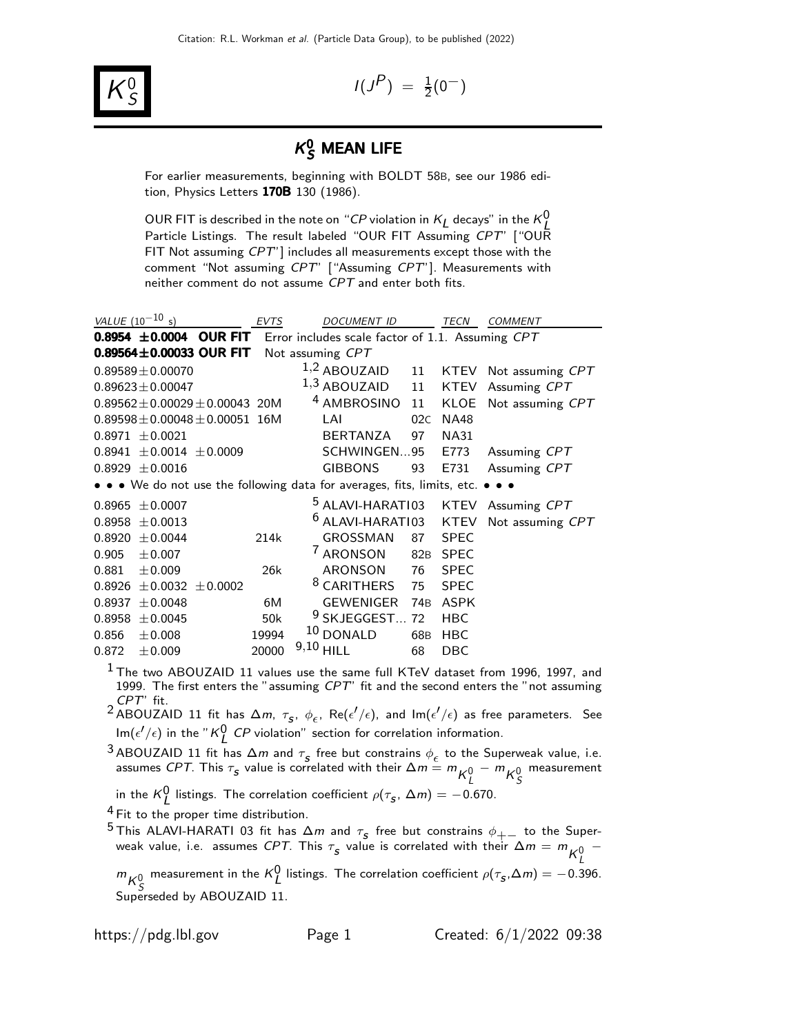

 $I(J^P) = \frac{1}{2}(0^-)$ 

# $\kappa_S^0$  mean life

For earlier measurements, beginning with BOLDT 58B, see our 1986 edition, Physics Letters 170B 130 (1986).

OUR FIT is described in the note on "CP violation in  $K_L$  decays" in the  $K_L^0$ Particle Listings. The result labeled "OUR FIT Assuming CPT" ["OUR FIT Not assuming CPT'] includes all measurements except those with the comment "Not assuming CPT" ["Assuming CPT"]. Measurements with neither comment do not assume CPT and enter both fits.

| VALUE $(10^{-10} s)$                                                          | <b>EVTS</b> | <b>DOCUMENT ID</b>          |                 | <b>TECN</b> | <b>COMMENT</b>   |
|-------------------------------------------------------------------------------|-------------|-----------------------------|-----------------|-------------|------------------|
| 0.8954 ±0.0004 OUR FIT Error includes scale factor of 1.1. Assuming CPT       |             |                             |                 |             |                  |
| 0.89564 $\pm$ 0.00033 OUR FIT                                                 |             | Not assuming CPT            |                 |             |                  |
| $0.89589 \pm 0.00070$                                                         |             | $1,2$ ABOUZAID              | 11              | <b>KTEV</b> | Not assuming CPT |
| $0.89623 \pm 0.00047$                                                         |             | $1,3$ ABOUZAID              | 11              | <b>KTEV</b> | Assuming CPT     |
| $0.89562 \pm 0.00029 \pm 0.00043$ 20M                                         |             | <sup>4</sup> AMBROSINO      | 11              | KLOE        | Not assuming CPT |
| $0.89598 \pm 0.00048 \pm 0.00051$ 16M                                         |             | LAI                         | 02C             | <b>NA48</b> |                  |
| $0.8971 \pm 0.0021$                                                           |             | BERTANZA                    | 97              | <b>NA31</b> |                  |
| $0.8941 \pm 0.0014 \pm 0.0009$                                                |             | SCHWINGEN95                 |                 | E773        | Assuming CPT     |
| $0.8929 \pm 0.0016$                                                           |             | <b>GIBBONS</b>              | 93              | E731        | Assuming CPT     |
| • • • We do not use the following data for averages, fits, limits, etc. • • • |             |                             |                 |             |                  |
| ± 0.0007<br>0.8965                                                            |             | <sup>5</sup> ALAVI-HARATI03 |                 | <b>KTEV</b> | Assuming CPT     |
| ± 0.0013<br>0.8958                                                            |             | <sup>6</sup> ALAVI-HARATI03 |                 | <b>KTEV</b> | Not assuming CPT |
| ± 0.0044<br>0.8920                                                            | 214k        | <b>GROSSMAN</b>             | 87              | <b>SPEC</b> |                  |
| 0.905<br>$\pm 0.007$                                                          |             | <sup>7</sup> ARONSON        | 82 <sub>B</sub> | <b>SPEC</b> |                  |
| 0.881<br>$\pm 0.009$                                                          | 26k         | <b>ARONSON</b>              | 76              | <b>SPEC</b> |                  |
| $\pm 0.0032 \pm 0.0002$<br>0.8926                                             |             | <sup>8</sup> CARITHERS      | 75              | <b>SPEC</b> |                  |
| 0.8937<br>± 0.0048                                                            | 6M          | <b>GEWENIGER</b>            | 74 <sub>B</sub> | <b>ASPK</b> |                  |
| ± 0.0045<br>0.8958                                                            | 50k         | <sup>9</sup> SKJEGGEST      | 72              | <b>HBC</b>  |                  |
| 0.856<br>$\pm 0.008$                                                          | 19994       | $10$ DONALD                 | 68B             | <b>HBC</b>  |                  |
| 0.872<br>$\pm 0.009$                                                          | 20000       | 9,10<br><b>HILL</b>         | 68              | <b>DBC</b>  |                  |

 $<sup>1</sup>$  The two ABOUZAID 11 values use the same full KTeV dataset from 1996, 1997, and</sup> 1999. The first enters the "assuming  $CPT$ " fit and the second enters the "not assuming

*CPT"* fit.<br><sup>2</sup> ABOUZAID 11 fit has Δ*m, τ<sub>s</sub>, φ<sub>ε</sub>,* Re(ε<sup>1</sup>/ε), and Im(ε<sup>1</sup>/ε) as free parameters. See  $\mathsf{Im}(\epsilon'/\epsilon)$  in the "K $^0_L$  CP violation" section for correlation information.

3 ABOUZAID 11 fit has  $\Delta m$  and  $\tau_s$  free but constrains  $\phi_\epsilon$  to the Superweak value, i.e. assumes *CPT*. This  $\tau_{_{\cal S}}$  value is correlated with their  $\Delta m = m_{K^0_L} - m_{K^0_S}$ measurement

in the  ${\sf K}_{\sf L}^{\sf O}$  listings. The correlation coefficient  $\rho(\tau_{\sf s},\,\Delta m)=-0.670.$ 

<sup>4</sup> Fit to the proper time distribution.

<sup>5</sup> This ALAVI-HARATI 03 fit has  $\Delta m$  and  $\tau_s$  free but constrains  $\phi_{+-}$  to the Super-<br>work value i.e. assumes CPT. This  $\tau$  value is correlated with their  $\Delta m = m$ weak value, i.e. assumes *CPT*. This  $\tau_{_{\mathcal{S}}}$  value is correlated with their  $\Delta m = m \frac{1}{K^0_L} - \frac{1}{K^0_L}$ 

 $m_{K^0_S}$ measurement in the  $\kappa_L^0$  listings. The correlation coefficient  $\rho(\tau_{\scriptscriptstyle \bf S},\Delta m)=-0.396$ . Superseded by ABOUZAID 11.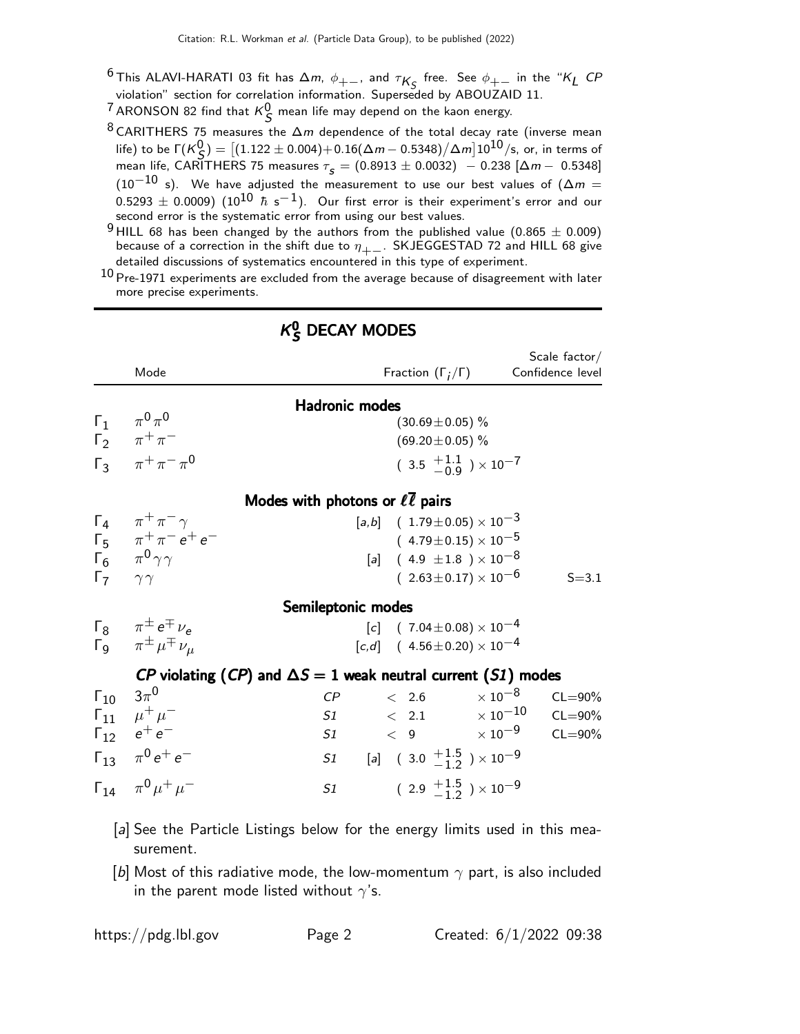- <sup>6</sup> This ALAVI-HARATI 03 fit has  $\Delta m$ ,  $\phi_{+-}$ , and  $\tau_{K_S}$  free. See  $\phi_{+-}$  in the "K<sub>L</sub> CP violation" section for correlation information. Superseded by ABOUZAID 11.
- <sup>7</sup> ARONSON 82 find that  $\kappa_S^0$  mean life may depend on the kaon energy.
- 8 CARITHERS 75 measures the  $\Delta m$  dependence of the total decay rate (inverse mean life) to be  $\Gamma(\mathcal{K}^0_{\mathcal{S}}) = \big[(1.122 \pm 0.004) + 0.16(\Delta m - 0.5348)/\Delta m\big]10^{10}/\text{s},$  or, in terms of mean life, CARITHERS 75 measures  $\tau_s = (0.8913 \pm 0.0032) - 0.238 [\Delta m - 0.5348]$  $(10^{-10}$  s). We have adjusted the measurement to use our best values of  $(\Delta m =$  $(0.5293 \pm 0.0009)$   $(10^{10} \hbar s^{-1})$ . Our first error is their experiment's error and our second error is the systematic error from using our best values.
- <sup>9</sup> HILL 68 has been changed by the authors from the published value (0.865  $\pm$  0.009) because of a correction in the shift due to  $\eta_{+-}$ . SKJEGGESTAD 72 and HILL 68 give detailed discussions of systematics encountered in this type of experiment.

 $^{10}$  Pre-1971 experiments are excluded from the average because of disagreement with later more precise experiments.

|                           | Mode                                                                                                  |                                                                      | Fraction $(\Gamma_i/\Gamma)$                                                                                                                          | Scale factor/<br>Confidence level |  |  |  |  |  |
|---------------------------|-------------------------------------------------------------------------------------------------------|----------------------------------------------------------------------|-------------------------------------------------------------------------------------------------------------------------------------------------------|-----------------------------------|--|--|--|--|--|
|                           | $\Gamma_1 \qquad \pi^0 \pi^0$<br>$\Gamma_2$ $\pi^+ \pi^-$<br>$\Gamma_3$ $\pi^+ \pi^- \pi^0$           | <b>Hadronic modes</b>                                                | $(30.69 \pm 0.05)$ %<br>$(69.20 \pm 0.05)$ %<br>$(3.5 \frac{+1.1}{-0.9}) \times 10^{-7}$                                                              |                                   |  |  |  |  |  |
|                           | Modes with photons or $\ell \overline{\ell}$ pairs                                                    |                                                                      |                                                                                                                                                       |                                   |  |  |  |  |  |
| $\Gamma_7$ $\gamma\gamma$ | $\Gamma_4$ $\pi^+\pi^-\gamma$<br>$\Gamma_5$ $\pi^+ \pi^- e^+ e^-$<br>$\Gamma_6$ $\pi^0 \gamma \gamma$ |                                                                      | $[a,b]$ ( 1.79 ± 0.05) $\times 10^{-3}$<br>$(4.79\!\pm\!0.15)\times10^{-5}$<br>[a] $(4.9 \pm 1.8) \times 10^{-8}$<br>$(2.63 \pm 0.17) \times 10^{-6}$ | $S = 3.1$                         |  |  |  |  |  |
|                           |                                                                                                       | Semileptonic modes                                                   |                                                                                                                                                       |                                   |  |  |  |  |  |
|                           | $\Gamma_8$ $\pi^{\pm}e^{\mp}\nu_e$<br>$\mathsf{\Gamma}_{9}$ $\pi^{\pm} \mu^{\mp} \nu_{\mu}$           |                                                                      | $[c]$ (7.04 ± 0.08) × 10 <sup>-4</sup><br>$[c,d]$ (4.56 ± 0.20) $\times 10^{-4}$                                                                      |                                   |  |  |  |  |  |
|                           |                                                                                                       | CP violating (CP) and $\Delta S = 1$ weak neutral current (S1) modes |                                                                                                                                                       |                                   |  |  |  |  |  |
| $\Gamma_{10}$ 3 $\pi^{0}$ |                                                                                                       | < 2.6<br>$\mathcal{C}P$                                              | $\times$ 10 $^{-8}$                                                                                                                                   | $CL = 90\%$                       |  |  |  |  |  |
|                           | $\Gamma_{11}$ $\mu^+ \mu^-$                                                                           | $S1 \qquad \qquad < \quad 2.1$                                       |                                                                                                                                                       | $\times$ 10 $^{-10}$ CL=90%       |  |  |  |  |  |
|                           | $\Gamma_{12}$ $e^+e^-$                                                                                | S1                                                                   |                                                                                                                                                       | $<$ 9 $\times\ 10^{-9}$ CL=90%    |  |  |  |  |  |
|                           | $\Gamma_{13}$ $\pi^0 e^+ e^-$                                                                         | S1 [a] $(3.0 \tfrac{+1.5}{-1.2}) \times 10^{-9}$                     |                                                                                                                                                       |                                   |  |  |  |  |  |
|                           | $\Gamma_{14}$ $\pi^{0} \mu^{+} \mu^{-}$                                                               | S1                                                                   | $(2.9 \tfrac{+1.5}{-1.2}) \times 10^{-9}$                                                                                                             |                                   |  |  |  |  |  |

## $K_S^0$  DECAY MODES

- [a] See the Particle Listings below for the energy limits used in this measurement.
- [b] Most of this radiative mode, the low-momentum  $\gamma$  part, is also included in the parent mode listed without  $\gamma$ 's.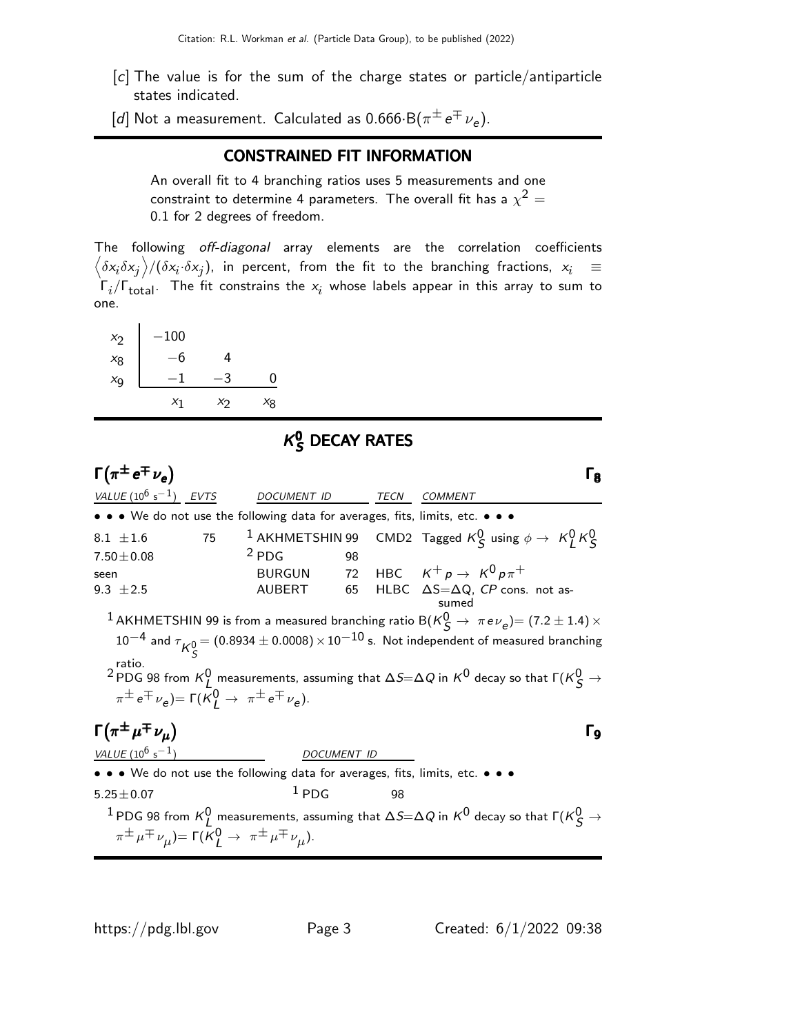- [c] The value is for the sum of the charge states or particle/antiparticle states indicated.
- $[d]$  Not a measurement. Calculated as  $0.666\!\cdot\! \mathsf{B}(\pi^{\pm}\,\mathrm{e}^{\mp}\,\nu_{\bm{e}}).$

#### CONSTRAINED FIT INFORMATION

An overall fit to 4 branching ratios uses 5 measurements and one constraint to determine 4 parameters. The overall fit has a  $\chi^2 =$ 0.1 for 2 degrees of freedom.

The following off-diagonal array elements are the correlation coefficients  $\left<\delta x_i\delta x_j\right>$ / $(\delta x_i\cdot\delta x_j)$ , in percent, from the fit to the branching fractions,  $x_i$   $\;\equiv$  $\Gamma_i/\Gamma_{\rm total}$ . The fit constrains the  $x_i$  whose labels appear in this array to sum to one.

| $x_2$   | $-100$ |       |       |
|---------|--------|-------|-------|
| $x_8$   | -6     | 4     |       |
| $x_{9}$ |        |       | ი     |
|         | $x_1$  | $x_2$ | $x_8$ |

#### $\kappa$ **g** DECAY RATES

 $\Gamma(\pi^{\pm} e^{\mp} \nu_e)$ VALUE  $(10^6 \text{ s}^{-1})$  EVTS DOCUMENT ID TECN COMMENT • • • We do not use the following data for averages, fits, limits, etc. • • •  $8.1\ \pm 1.6$   $75$   $1$  AKHMETSHIN 99 CMD2 Tagged  $K^0_S$  using  $\phi\rightarrow\ K^0_L\,K^0_S$  $7.50 \pm 0.08$   $2$  PDG 98<br>seen BURGUN 72 seen BURGUN 72 HBC  $K^+ p \rightarrow K^0 p \pi^+$ 9.3  $±2.5$  AUBERT 65 HLBC ΔS=ΔQ, CP cons. not assumed  $^1$  AKHMETSHIN 99 is from a measured branching ratio B( $\kappa_S^0 \rightarrow \pi e \nu_e$ )= (7.2  $\pm$  1.4)  $\times$  $10^{-4}$  and  $\tau^{}_{\mathcal{K}^0_S}$   $= (0.8934 \pm 0.0008) \times 10^{-10}$  s. Not independent of measured branching ratio.  $^2$ PDG 98 from  $\kappa_L^0$  measurements, assuming that  $\Delta S\!\!=\!\!\Delta Q$  in  $\kappa^0$  decay so that  $\mathsf{\Gamma}(\kappa_S^0\to\mathbb{R})$  $\pi^{\pm} e^{\mp} \nu_e$ )=  $\Gamma(K^0_L \rightarrow \pi^{\pm} e^{\mp} \nu_e)$ .  $\Gamma(\pi^\pm\mu^\mp\nu_\mu)$  Γρ VALUE  $(10^6 \text{ s}^{-1})$  DOCUMENT ID • • • We do not use the following data for averages, fits, limits, etc. • • •  $5.25 \pm 0.07$   $1$  PDG 98  $^1$  PDG 98 from  $\kappa_L^0$  measurements, assuming that  $\Delta S\!\!=\!\Delta Q$  in  $\kappa^0$  decay so that  $\Gamma(\kappa_S^0\to\ell^+\ell^-)$  $\pi^{\pm} \mu^{\mp} \nu_{\mu}$ )= Γ(Κ $_{\mathsf{L}}^{0}$   $\rightarrow$   $\pi^{\pm} \mu^{\mp} \nu_{\mu}$ ).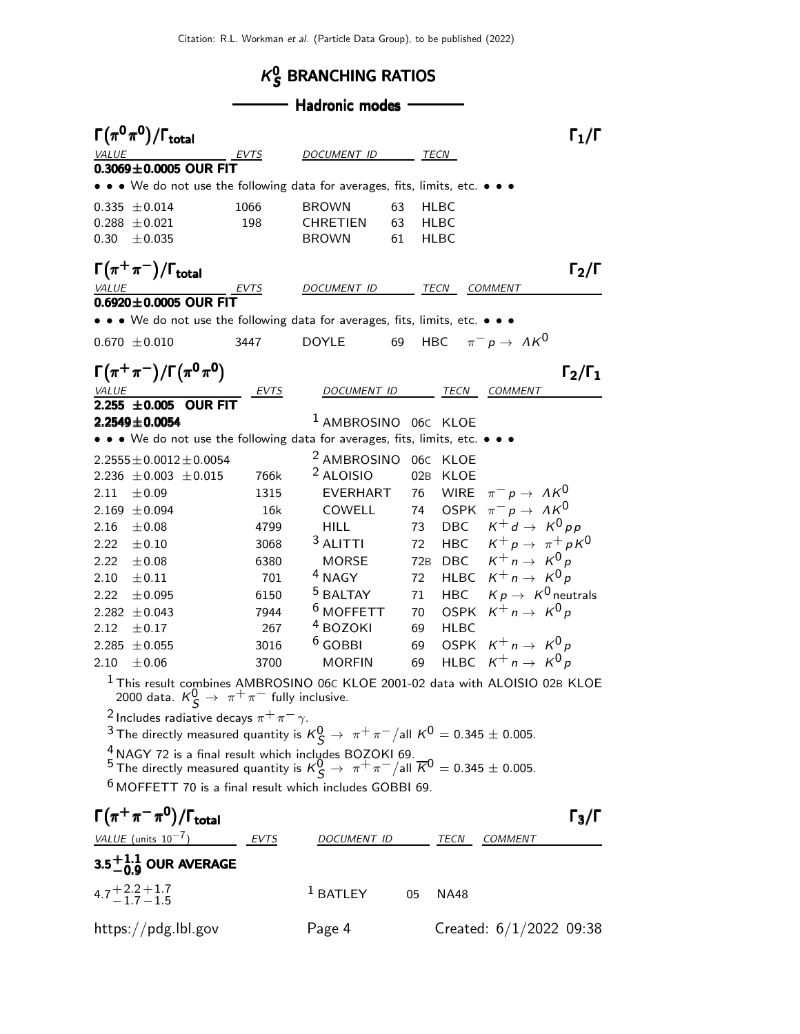#### $\kappa$ g BRANCHING RATIOS

### - Hadronic modes -

|              | $\Gamma(\pi^0\pi^0)/\Gamma_{\rm total}$                                                                                                                                                       |             |                                    |    |             |                                                                     | $\Gamma_1/\Gamma$   |
|--------------|-----------------------------------------------------------------------------------------------------------------------------------------------------------------------------------------------|-------------|------------------------------------|----|-------------|---------------------------------------------------------------------|---------------------|
| <i>VALUE</i> |                                                                                                                                                                                               | EVTS        | DOCUMENT ID                        |    | TECN        |                                                                     |                     |
|              | $0.3069 \pm 0.0005$ OUR FIT                                                                                                                                                                   |             |                                    |    |             |                                                                     |                     |
|              | • • • We do not use the following data for averages, fits, limits, etc. • • •                                                                                                                 |             |                                    |    |             |                                                                     |                     |
|              | $0.335 \pm 0.014$                                                                                                                                                                             | 1066        | <b>BROWN</b>                       | 63 | HLBC        |                                                                     |                     |
| 0.288        | $\pm 0.021$                                                                                                                                                                                   | 198         | CHRETIEN                           | 63 | HLBC        |                                                                     |                     |
| 0.30         | ± 0.035                                                                                                                                                                                       |             | <b>BROWN</b>                       | 61 | HLBC        |                                                                     |                     |
|              | $\Gamma(\pi^+\pi^-)/\Gamma_{\rm total}$                                                                                                                                                       |             |                                    |    |             |                                                                     | $\Gamma_2/\Gamma$   |
| VALUE        |                                                                                                                                                                                               | <u>EVTS</u> | DOCUMENT ID                        |    | TECN        | <b>COMMENT</b>                                                      |                     |
|              | $0.6920 \pm 0.0005$ OUR FIT                                                                                                                                                                   |             |                                    |    |             |                                                                     |                     |
|              | • • • We do not use the following data for averages, fits, limits, etc. • • •                                                                                                                 |             |                                    |    |             |                                                                     |                     |
|              | $0.670 \pm 0.010$                                                                                                                                                                             | 3447        | <b>DOYLE</b>                       | 69 | HBC         | $\pi^- p \to \Lambda K^0$                                           |                     |
|              |                                                                                                                                                                                               |             |                                    |    |             |                                                                     |                     |
|              | $\Gamma(\pi^+\pi^-)/\Gamma(\pi^0\pi^0)$                                                                                                                                                       |             |                                    |    |             |                                                                     | $\Gamma_2/\Gamma_1$ |
| <b>VALUE</b> | $2.255 \pm 0.005$ OUR FIT                                                                                                                                                                     | <b>EVTS</b> | DOCUMENT ID                        |    | TECN        | <b>COMMENT</b>                                                      |                     |
|              | $2.2549 \pm 0.0054$                                                                                                                                                                           |             | <sup>1</sup> AMBROSINO             |    | 06C KLOE    |                                                                     |                     |
|              | • • • We do not use the following data for averages, fits, limits, etc. • •                                                                                                                   |             |                                    |    |             |                                                                     |                     |
|              |                                                                                                                                                                                               |             |                                    |    |             |                                                                     |                     |
|              | $2.2555 \pm 0.0012 \pm 0.0054$                                                                                                                                                                |             | <sup>2</sup> AMBROSINO 06C KLOE    |    |             |                                                                     |                     |
|              | 2.236 $\pm$ 0.003 $\pm$ 0.015                                                                                                                                                                 | 766k        | <sup>2</sup> ALOISIO               |    | 02B KLOE    |                                                                     |                     |
| 2.11         | ±0.09                                                                                                                                                                                         | 1315        | EVERHART                           | 76 | <b>WIRE</b> | $\pi^- p \to \Lambda K^0$                                           |                     |
| 2.169        | $\pm 0.094$                                                                                                                                                                                   | 16k         | COWELL                             | 74 | <b>OSPK</b> | $\pi^- p \to \Lambda K^0$                                           |                     |
| 2.16         | ±0.08                                                                                                                                                                                         | 4799        | <b>HILL</b>                        | 73 | DBC         | $K^+ d \rightarrow K^0 p p$                                         |                     |
| 2.22         | $\pm 0.10$                                                                                                                                                                                    | 3068        | $3$ ALITTI                         | 72 | HBC         | $K^+ p \rightarrow \pi^+ p K^0$                                     |                     |
| 2.22         | $\pm 0.08$                                                                                                                                                                                    | 6380        | <b>MORSE</b><br><sup>4</sup> NAGY  |    | 72B DBC     | $K^+ n \rightarrow K^0 p$                                           |                     |
| 2.10         | $\pm 0.11$                                                                                                                                                                                    | 701         |                                    | 72 |             | HLBC $K^+ n \rightarrow K^0 p$                                      |                     |
| 2.22         | $\pm 0.095$                                                                                                                                                                                   | 6150        | <sup>5</sup> BALTAY<br>$6$ MOFFETT | 71 |             | HBC $Kp \rightarrow K^0$ neutrals<br>OSPK $K^+ n \rightarrow K^0 p$ |                     |
| 2.282        | ± 0.043                                                                                                                                                                                       | 7944        | <sup>4</sup> BOZOKI                | 70 |             |                                                                     |                     |
| 2.12         | $\pm 0.17$                                                                                                                                                                                    | 267         | $6$ GOBBI                          | 69 | <b>HLBC</b> |                                                                     |                     |
| 2.285        | $\pm 0.055$                                                                                                                                                                                   | 3016        |                                    | 69 |             | OSPK $K^+ n \rightarrow K^0 p$<br>$K^+ n \rightarrow K^0 p$         |                     |
| 2.10         | $\pm 0.06$                                                                                                                                                                                    | 3700        | <b>MORFIN</b>                      | 69 | <b>HLBC</b> |                                                                     |                     |
|              | <sup>1</sup> This result combines AMBROSINO 06C KLOE 2001-02 data with ALOISIO 02B KLOE<br>2000 data. $K^0_S \rightarrow \pi^+\pi^-$ fully inclusive.                                         |             |                                    |    |             |                                                                     |                     |
|              | <sup>2</sup> Includes radiative decays $\pi^+\pi^-\gamma$ .                                                                                                                                   |             |                                    |    |             |                                                                     |                     |
|              | <sup>3</sup> The directly measured quantity is $K^0_S \rightarrow \pi^+ \pi^-/$ all $K^0 = 0.345 \pm 0.005$ .                                                                                 |             |                                    |    |             |                                                                     |                     |
|              | <sup>4</sup> NAGY 72 is a final result which includes BOZOKI 69.<br><sup>5</sup> The directly measured quantity is $K_S^0 \rightarrow \pi^+ \pi^- /$ all $\overline{K}^0 = 0.345 \pm 0.005$ . |             |                                    |    |             |                                                                     |                     |
|              | $6$ MOFFETT 70 is a final result which includes GOBBI 69.                                                                                                                                     |             |                                    |    |             |                                                                     |                     |
|              | $\Gamma(\pi^+\pi^-\pi^0)/\Gamma_{\rm total}$                                                                                                                                                  |             |                                    |    |             |                                                                     | $\Gamma_3/\Gamma$   |
|              | VALUE (units $10^{-7}$ ) EVTS                                                                                                                                                                 |             | DOCUMENT ID                        |    | TECN        | COMMENT                                                             |                     |
|              | $3.5^{+1.1}_{-0.9}$ OUR AVERAGE                                                                                                                                                               |             |                                    |    |             |                                                                     |                     |
|              | $4.7 + 2.2 + 1.7$<br>$-1.7 - 1.5$                                                                                                                                                             |             | $^1$ BATLEY                        | 05 | <b>NA48</b> |                                                                     |                     |
|              |                                                                                                                                                                                               |             |                                    |    |             |                                                                     |                     |
|              | https://pdg.lbl.gov                                                                                                                                                                           |             | Page 4                             |    |             | Created: $6/1/2022$ 09:38                                           |                     |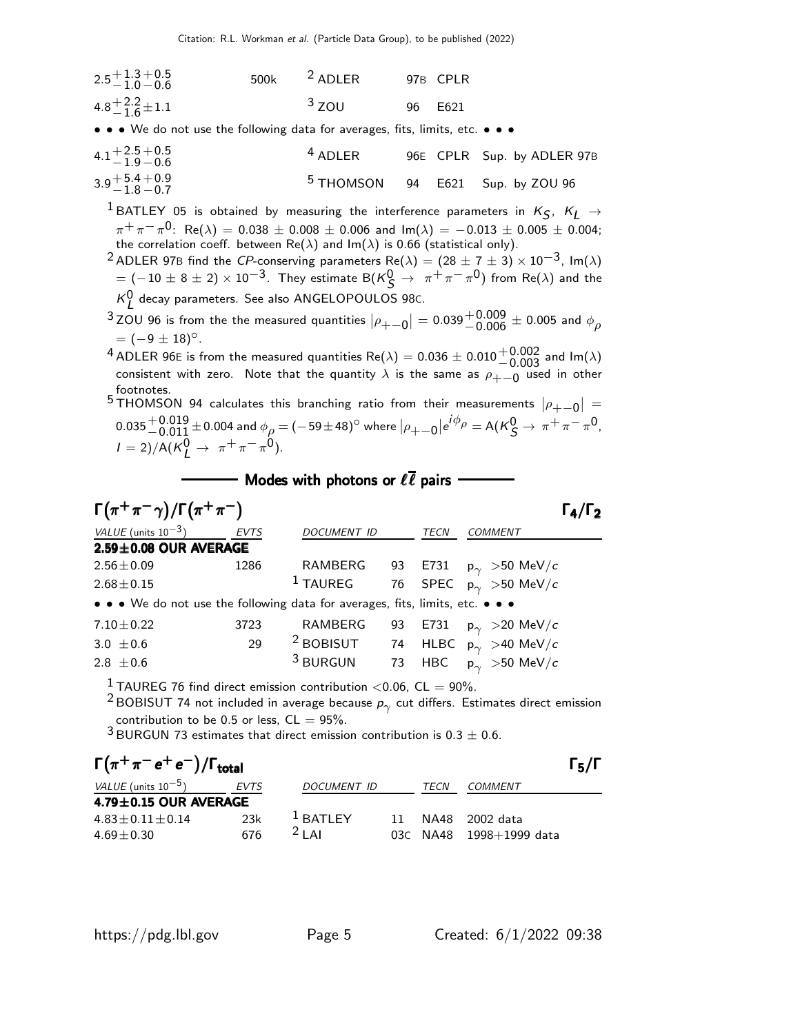| $2.5 + 1.3 + 0.5$<br>$-1.0 - 0.6$ | 500k $^2$ ADLER | 97B CPLR |
|-----------------------------------|-----------------|----------|
| $4.8 + 2.2 + 1.1$                 | $3$ ZOU         | 96 F621  |

• • • We do not use the following data for averages, fits, limits, etc. • • •

| $4.1 + 2.5 + 0.5$<br>$-1.9 - 0.6$ | $4$ ADLER |  | 96E CPLR Sup. by ADLER 97B         |
|-----------------------------------|-----------|--|------------------------------------|
| $3.9 + 5.4 + 0.9 - 1.8 - 0.7$     |           |  | $5$ THOMSON 94 E621 Sup. by ZOU 96 |

 $^1$ BATLEY 05 is obtained by measuring the interference parameters in  $K_S$ ,  $K_L \rightarrow$  $\pi^+\pi^-\pi^0$ : Re( $\lambda$ ) = 0.038  $\pm$  0.008  $\pm$  0.006 and Im( $\lambda$ ) =  $-$ 0.013  $\pm$  0.005  $\pm$  0.004;<br>the correlation coeff. between Re( $\lambda$ ) and Im( $\lambda$ ) is 0.66 (statistical only).

<sup>2</sup> ADLER 97B find the CP-conserving parameters  $Re(\lambda) = (28 \pm 7 \pm 3) \times 10^{-3}$ , Im( $\lambda$ )  $= (-10 \pm 8 \pm 2) \times 10^{-3}$ . They estimate B( $\mathcal{K}^0_\mathcal{S} \rightarrow \pi^+ \pi^- \pi^0$ ) from Re( $\lambda$ ) and the  $K^0_L$  decay parameters. See also ANGELOPOULOS 98c.

<sup>3</sup>ZOU 96 is from the the measured quantities  $|\rho_{+-0}| = 0.039^{+0.009}_{-0.006} \pm 0.005$  and  $\phi_{\rho}$  $= (-9 \pm 18)^{\circ}$ .

4 ADLER 96E is from the measured quantities  $Re(\lambda) = 0.036 \pm 0.010^{+0.002}_{-0.003}$  and  $Im(\lambda)$ <br>consistent with zero. Note that the quantity is the same as a used in other consistent with zero. Note that the quantity  $\lambda$  is the same as  $\rho_{+-0}$  used in other<br>footnotes footnotes.

5 THOMSON 94 calculates this branching ratio from their measurements  $|\rho_{+-0}| =$  $0.035^{+0.019}_{-0.011}$  ± 0.004 and  $\phi_{\rho} = (-59 \pm 48)^{\circ}$  where  $|\rho_{+-0}|e^{i\phi_{\rho}} = A(K_S^0 \to \pi^+ \pi^- \pi^0)$  $I = 2)/A(K_L^0 \to \pi^+ \pi^- \pi^0).$ 

#### $\frac{1}{\sqrt{2}}$  Modes with photons or  $\ell \overline{\ell}$  pairs  $\overline{\ell}$

| $\Gamma(\pi^+\pi^-\gamma)/\Gamma(\pi^+\pi^-)$                                 |             |                      |    |             | "כ I                                                        |
|-------------------------------------------------------------------------------|-------------|----------------------|----|-------------|-------------------------------------------------------------|
| VALUE (units $10^{-3}$ )                                                      | <b>EVTS</b> | <b>DOCUMENT ID</b>   |    | <b>TECN</b> | <b>COMMENT</b>                                              |
| $2.59 \pm 0.08$ OUR AVERAGE                                                   |             |                      |    |             |                                                             |
| $2.56 \pm 0.09$                                                               | 1286        | RAMBERG              | 93 | E731        | $\mathsf{p}_{\gamma}^{\phantom{\dag}} >$ 50 MeV/ $\epsilon$ |
| $2.68 \pm 0.15$                                                               |             | $^1$ TAUREG          |    |             | 76 SPEC $p_{\gamma} > 50$ MeV/c                             |
| • • • We do not use the following data for averages, fits, limits, etc. • • • |             |                      |    |             |                                                             |
| $7.10 \pm 0.22$                                                               | 3723        | <b>RAMBERG</b>       | 93 | E731        | $\mathsf{p}_{\gamma}$ $>$ 20 MeV/ $\mathsf{c}$              |
| 3.0 $\pm$ 0.6                                                                 | 29          | <sup>2</sup> BOBISUT | 74 |             | HLBC $p_{\gamma} > 40$ MeV/c                                |
| 2.8 $\pm$ 0.6                                                                 |             | <sup>3</sup> BURGUN  | 73 | <b>HBC</b>  | $\mathsf{p}_{\gamma}>$ 50 MeV/ $\mathsf{c}$                 |
|                                                                               |             |                      |    |             |                                                             |

<sup>1</sup> TAUREG 76 find direct emission contribution <0.06, CL = 90%.

 $^2$ BOBISUT 74 not included in average because  $\rho_\gamma$  cut differs. Estimates direct emission contribution to be 0.5 or less,  $CL = 95\%$ .

 $3$  BURGUN 73 estimates that direct emission contribution is 0.3  $\pm$  0.6.

Γ π <sup>+</sup> π − e + e − /Γtotal Γ5/Γ +−+− Γ total <sup>5</sup> <sup>+</sup> π<sup>−</sup> e +e /Γtotal Γ5/Γ <sup>+</sup>−+total <sup>5</sup> VALUE (units 10−5) EVTS DOCUMENT ID TECN COMMENT 4.79±0.15 OUR AVERAGE 15 OUR AVERAGE OUR AVERAGE OUR AVERAGE <sup>4</sup>.83±0.11±0.14 23k <sup>1</sup> BATLEY 11 NA48 2002 data <sup>4</sup>.69±0.30 676 <sup>2</sup> LAI 03<sup>C</sup> NA48 1998+1999 data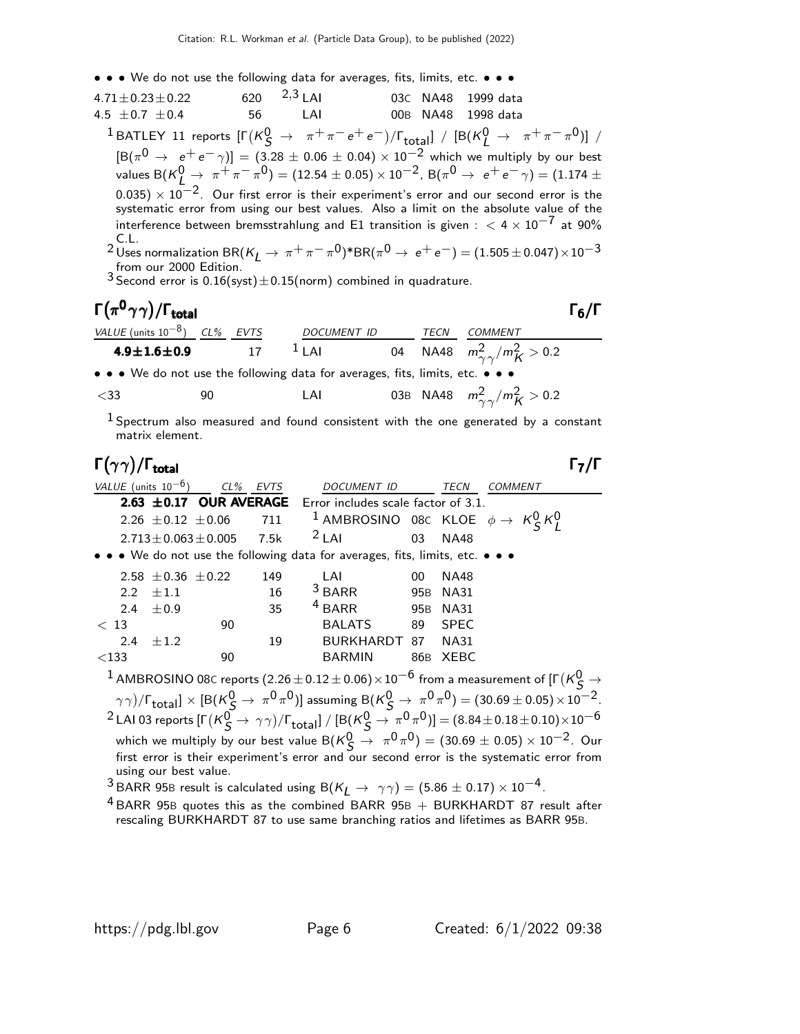- • We do not use the following data for averages, fits, limits, etc. • •
- $4.71 \pm 0.23 \pm 0.22$  620  $^{2,3}$  LAI 03C NA48 1999 data<br>  $4.5 + 0.7 + 0.4$  56 LAI 00B NA48 1998 data  $4.5 \pm 0.7 \pm 0.4$  56 LAI 00B NA48 1998 data  $1 \text{ BATLEY}$  11 reports  $\left[\Gamma(\kappa_S^0 \rightarrow \pi^+\pi^-e^+e^-)/\Gamma_{\text{total}}\right] / \left[\text{B}(\kappa_L^0 \rightarrow \pi^+\pi^-\pi^0)\right] /$  $[B(\pi^0 \to e^+e^-\gamma)] = (3.28 \pm 0.06 \pm 0.04) \times 10^{-2}$  which we multiply by our best values B $({\sf K}_{L}^0 \rightarrow \ \pi^+ \pi^- \pi^0) =$   $(12.54 \pm 0.05) \times 10^{-2}$ , B $(\pi^0 \rightarrow \ e^+ e^- \gamma) = (1.174 \pm 0.05)$  $(0.035)\times 10^{-2}.$  Our first error is their experiment's error and our second error is the systematic error from using our best values. Also a limit on the absolute value of the interference between bremsstrahlung and E1 transition is given :  $< 4 \times 10^{-7}$  at 90% C.L.<br><sup>2</sup> Uses normalization BR(K<sub>L</sub> → π<sup>+</sup>π<sup>−</sup>π<sup>0</sup>)\*BR(π<sup>0</sup> → e<sup>+</sup>e<sup>−</sup>) = (1.505±0.047)×10<sup>−3</sup>

from our 2000 Edition.<br><sup>3</sup> Second error is 0.16(syst) $\pm$ 0.15(norm) combined in quadrature.

## Γ $(\pi^0 \gamma \gamma)$ /Γ<sub>total</sub> Γενικόται της Γενικής Γενικής Γενικής Γενικής Γενικής Γενικής Γενικής Γ

| VALUE (units $10^{-8}$ ) CL% EVTS                                             | <i>DOCUMENT ID</i> | TECN | COMMENT                                  |
|-------------------------------------------------------------------------------|--------------------|------|------------------------------------------|
| $4.9 \pm 1.6 \pm 0.9$ 17                                                      | $1$ LAI            |      | 04 NA48 $m_{\gamma\gamma}^2/m_K^2 > 0.2$ |
| • • • We do not use the following data for averages, fits, limits, etc. • • • |                    |      |                                          |

$$
<33 \t\t 90 \t\t LAI \t\t 03B NA48 \t m_{\gamma\gamma}^2/m_K^2 > 0.2
$$

 $1$  Spectrum also measured and found consistent with the one generated by a constant matrix element.

### Γ $(\gamma \gamma)/\Gamma_{\sf total}$

| VALUE (units $10^{-6}$ ) |                            |                             | CL% EVTS | DOCUMENT ID                                                                                                                   |                 | TECN        | <b>COMMENT</b>                                                                                                                                                 |
|--------------------------|----------------------------|-----------------------------|----------|-------------------------------------------------------------------------------------------------------------------------------|-----------------|-------------|----------------------------------------------------------------------------------------------------------------------------------------------------------------|
|                          |                            |                             |          | <b>2.63 <math>\pm</math>0.17 OUR AVERAGE</b> Error includes scale factor of 3.1.                                              |                 |             |                                                                                                                                                                |
|                          | 2.26 $\pm$ 0.12 $\pm$ 0.06 |                             | 711      | <sup>1</sup> AMBROSINO 08C KLOE $\phi \rightarrow K_S^0 K_I^0$                                                                |                 |             |                                                                                                                                                                |
|                          |                            | $2.713 \pm 0.063 \pm 0.005$ | 7.5k     | $2$ LAI                                                                                                                       | 03              | <b>NA48</b> |                                                                                                                                                                |
|                          |                            |                             |          | $\bullet$ $\bullet$ $\bullet$ We do not use the following data for averages, fits, limits, etc. $\bullet$ $\bullet$ $\bullet$ |                 |             |                                                                                                                                                                |
|                          | 2.58 $\pm$ 0.36 $\pm$ 0.22 |                             | 149      | LAI                                                                                                                           | 00              | <b>NA48</b> |                                                                                                                                                                |
| $2.2^{\circ}$            | $\pm 1.1$                  |                             | 16       | $3$ BARR                                                                                                                      | 95 <sub>B</sub> | <b>NA31</b> |                                                                                                                                                                |
| 2.4                      | ±0.9                       |                             | 35       | $4$ BARR                                                                                                                      | 95B             | <b>NA31</b> |                                                                                                                                                                |
| < 13                     |                            | 90                          |          | <b>BALATS</b>                                                                                                                 | 89              | <b>SPEC</b> |                                                                                                                                                                |
| $2.4^{\circ}$            | $\pm 1.2$                  |                             | 19       | BURKHARDT                                                                                                                     | 87              | <b>NA31</b> |                                                                                                                                                                |
| $<$ 133                  |                            | 90                          |          | <b>BARMIN</b>                                                                                                                 | 86B             | XEBC        |                                                                                                                                                                |
|                          |                            |                             |          |                                                                                                                               |                 |             | $^1$ AMBROSINO 08C reports (2.26 $\pm$ 0.12 $\pm$ 0.06) $\times$ 10 $^{-6}$ from a measurement of [F (K $^0\hskip-3.5pt\zeta\to$                               |
|                          |                            |                             |          |                                                                                                                               |                 |             | $(\gamma \gamma)/\Gamma_{\text{total}}] \times [B(K_{\zeta}^0 \to \pi^0 \pi^0)]$ assuming $B(K_{\zeta}^0 \to \pi^0 \pi^0) = (30.69 \pm 0.05) \times 10^{-2}$ . |
|                          |                            |                             |          |                                                                                                                               |                 |             | <sup>2</sup> LAI 03 reports $[\Gamma(K_S^0 \to \gamma \gamma)/\Gamma_{\text{total}}] / [B(K_S^0 \to \pi^0 \pi^0)] = (8.84 \pm 0.18 \pm 0.10) \times 10^{-6}$   |
|                          |                            |                             |          |                                                                                                                               |                 |             | which we multiply by our best value B( $K^0$ $\rightarrow \pi^0 \pi^0$ ) = (30.69 $\pm$ 0.05) $\times$ 10 <sup>-2</sup> . Our                                  |
|                          | using our best value.      |                             |          |                                                                                                                               |                 |             | first error is their experiment's error and our second error is the systematic error from                                                                      |
|                          |                            |                             |          | $3$ DADD 050 usualt is selected using $D(V \rightarrow \infty)$ (FQ6 + 0.17) $\times 10^{-4}$                                 |                 |             |                                                                                                                                                                |

BARR 95B result is calculated using B( $K_L \rightarrow \gamma \gamma) = (5.86 \pm 0.17) \times 10^{-4}$ 

 $4$  BARR 95B quotes this as the combined BARR 95B  $+$  BURKHARDT 87 result after rescaling BURKHARDT 87 to use same branching ratios and lifetimes as BARR 95B.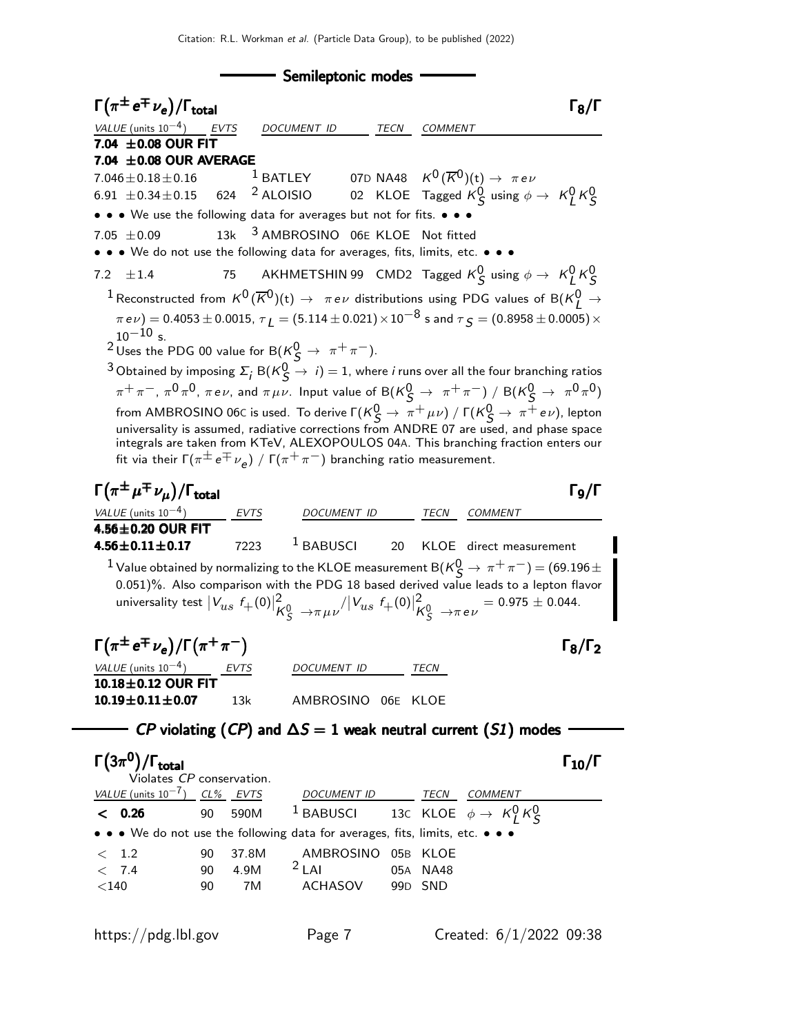- Semileptonic modes - $\Gamma(\pi^{\pm}\,e^{\mp}\,\nu_e)/\Gamma_{\rm total}$  Γενι total and the set of the set of the set of the set of the set of the set of the set of the set of the set of t VALUE (units  $10^{-4}$ ) EVTS DOCUMENT ID TECN COMMENT  $7.04 \pm 0.08$  OUR FIT **7.04**  $\pm$ **0.08 OUR AVERAGE**<br>7.046  $\pm$  0.18  $\pm$  0.16 <sup>1</sup> BATLEY  $7.046\pm0.18\pm0.16$  1 BATLEY 07D NA48  $K^0(\overline{K}^0)$ (t)  $\rightarrow$   $\pi\,e\,\nu$  $6.91\ \pm 0.34\pm 0.15$   $624$   $^2$  ALOISIO  $\qquad$  02 KLOE Tagged  $K_S^0$  using  $\phi\rightarrow\ K_L^0$   $K_S^0$ • • • We use the following data for averages but not for fits. • • • 7.05  $\pm$  0.09 13k <sup>3</sup> AMBROSINO 06E KLOE Not fitted • • • We do not use the following data for averages, fits, limits, etc. • • • 7.2  $\pm 1.4$  75 AKHMETSHIN 99 CMD2 Tagged  $K^0_S$  using  $\phi \rightarrow K^0_L K^0_S$  $1$  Reconstructed from  $\mathcal{K}^{0}(\overline{\mathcal{K}}^{0})(t)\rightarrow \pi e\nu$  distributions using PDG values of B( $\mathcal{K}_{L}^{0}\rightarrow \mathcal{K}_{L}^{0}$  $(\pi e \nu) = 0.4053 \pm 0.0015, \tau_1 = (5.114 \pm 0.021) \times 10^{-8}$  s and  $\tau_5 = (0.8958 \pm 0.0005) \times 10^{-8}$  $10^{-10}$  s. <sup>2</sup> Uses the PDG 00 value for B( $\frac{1}{5}$   $\rightarrow \pi^+\pi^-$ ). <sup>3</sup> Obtained by imposing  $\Sigma_j$  B( $\kappa_S^0 \rightarrow i$ ) = 1, where *i* runs over all the four branching ratios  $\pi^+\pi^-$ ,  $\pi^0\pi^0$ ,  $\pi$ e $\nu$ , and  $\pi\mu\nu$ . Input value of  ${\sf B}({\sf K}^0_S\to\pi^+\pi^-)$  /  ${\sf B}({\sf K}^0_S\to\pi^0\pi^0)$ from AMBROSINO 06C is used. To derive  $\Gamma(K^0_S \to \pi^+ \mu \nu) / \Gamma(K^0_S \to \pi^+ e \nu)$ , lepton universality is assumed, radiative corrections from ANDRE 07 are used, and phase space integrals are taken from KTeV, ALEXOPOULOS 04A. This branching fraction enters our fit via their Γ $(\pi^{\pm}\,e^{\mp}\,\nu_{\mathsf{e}})$  / Γ $(\pi^+\,\pi^-)$  branching ratio measurement.  $\Gamma(\pi^{\pm}\mu^{\mp}\nu_{\mu})/\Gamma_{\mathrm{total}}$  Γg/Γ VALUE (units  $10^{-4}$ ) EVTS DOCUMENT ID TECN COMMENT  $4.56\pm0.20$  OUR FIT<br> $4.56\pm0.11\pm0.17$ 7223 <sup>1</sup> BABUSCI 20 KLOE direct measurement  $1$  Value obtained by normalizing to the KLOE measurement B $({\sf K}^0_S \to \pi^+ \pi^-)$   $=$   $(69.196 \pm$ 0.051)%. Also comparison with the PDG 18 based derived value leads to a lepton flavor universality test  $\vert V_{us} \vert f_+(0) \vert^2_{\bm{\mu}}$  $\frac{2}{\kappa_S^0} \rightarrow$   $\pi \mu \nu^{\prime} |V_{us} f_+(0)|^2_{\mu}$  $K_S^0$  →πe $\nu$  = 0.975  $\pm$  0.044.  $\Gamma(\pi^{\pm}e^{\mp}\nu_{e})/\Gamma(\pi^{+}\pi^{-})$  Γ<sub>8</sub>/Γ<sub>2</sub>  $\Gamma_8/\Gamma_2$ VALUE (units  $10^{-4}$ ) EVTS DOCUMENT ID TECN  $10.18\pm0.12$  OUR FIT 10.19±0.11±0.07 13k AMBROSINO 06<sup>E</sup> KLOE  $\mathit{CP}$  violating ( $\mathit{CP}$ ) and  $\Delta \mathit{S} = 1$  weak neutral current ( $\mathit{SI}$ ) modes Γ $\rm (3\pi^0)/\Gamma_{total}$  Γ $\rm _{10}/\Gamma$  $\Gamma_{10}/\Gamma$ Violates CP conservation. VALUE (units 10<sup>-7</sup>) CL% EVTS DOCUMENT ID TECN COMMENT  $\texttt{<} \hspace{0.2cm} \textbf{0.26}$  90 590M  $^{-1}$  BABUSCI 13c KLOE  $\phi \rightarrow K^0_L K^0_S$ • • • We do not use the following data for averages, fits, limits, etc.

5 1.2 90 37.8M AMBROSINO 05B KLOE<br>- 7.4 90 4.9M <sup>2</sup> LAI 05A NA48  $<$  7.4 90 4.9M  $^{2}$  LAI 05A NA48 <140 90 7M ACHASOV 99D SND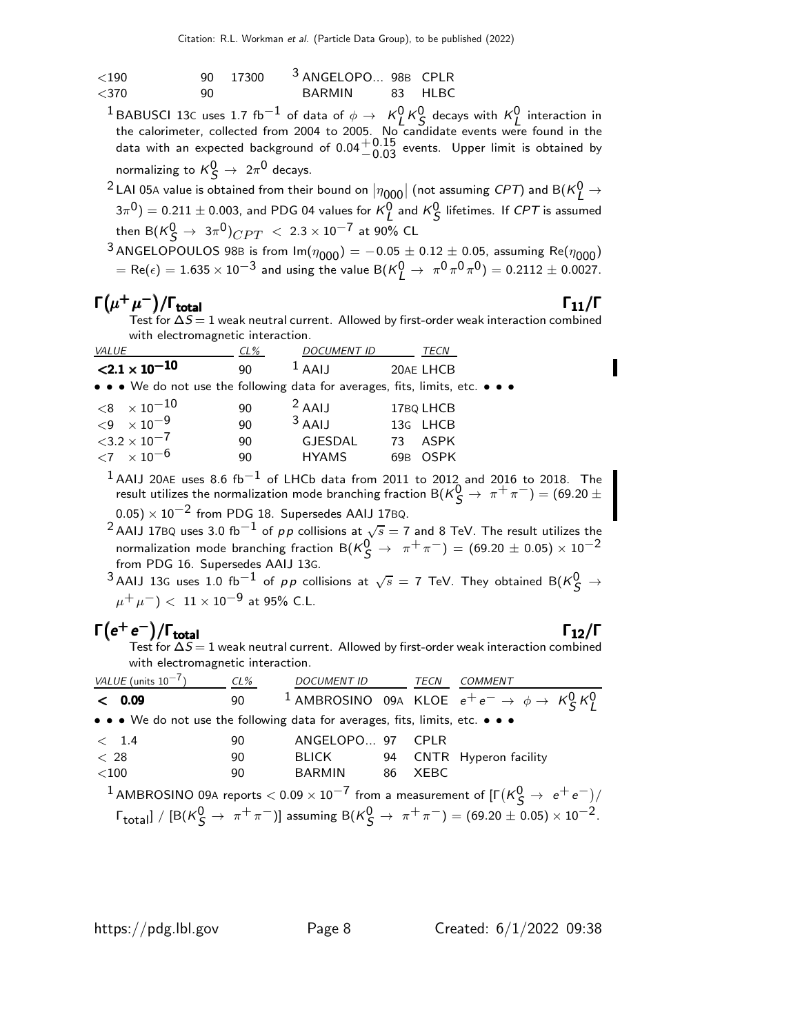| ${<}190$ |     | 90 17300 | 3 ANGELOPO 98B CPLR |         |
|----------|-----|----------|---------------------|---------|
| $<$ 370  | 90. |          | <b>BARMIN</b>       | 83 HLBC |

<sup>1</sup>BABUSCI 13C uses 1.7 fb<sup>-1</sup> of data of  $\phi \to K^0_K K^0_S$  decays with  $K^0_L$  interaction in the calorimeter, collected from 2004 to 2005. No candidate events were found in the data with an expected background of  $0.04^{+0.15}_{-0.03}$  events. Upper limit is obtained by normalizing to  $\mathcal{K}_{\mathcal{S}}^{0}\rightarrow\ 2\pi^{0}$  decays.

 $^2$  LAI 05A value is obtained from their bound on  $|\eta_{000}|$  (not assuming *CPT*) and B( $\kappa_L^0 \rightarrow$  $(3\pi^0)=0.211\pm0.003$ , and PDG 04 values for  ${\sf K}_L^0$  and  ${\sf K}_S^0$  lifetimes. If  ${\cal CPT}$  is assumed then  ${\sf B}({\sf K}^0_{\sf S}\to\,3\pi^0)_{CPT}\,<\,2.3\times10^{-7}$  at 90% CL

3 ANGELOPOULOS 98B is from  $Im(\eta_{000}) = -0.05 \pm 0.12 \pm 0.05$ , assuming Re $(\eta_{000})$  $=$  Re( $\epsilon$ )  $= 1.635 \times 10^{-3}$  and using the value B( $K^0_L \rightarrow \pi^0 \pi^0 \pi^0$ )  $= 0.2112 \pm 0.0027$ .

## $\Gamma(\mu^+\mu^-)/\Gamma_{\rm total}$  Γ<sub>11</sub>/Γ

total  $11/1$ Test for  $\Delta S\!=\!1$  weak neutral current. Allowed by first-order weak interaction combined with electromagnetic interaction.

| VALUE                                                                                                                 | $CL\%$ | <b>DOCUMENT ID</b> |     | TECN        |
|-----------------------------------------------------------------------------------------------------------------------|--------|--------------------|-----|-------------|
| $\langle 2.1 \times 10^{-10} \rangle$                                                                                 | 90     | $1$ AAIJ           |     | 20AE LHCB   |
| $\bullet \bullet \bullet$ We do not use the following data for averages, fits, limits, etc. $\bullet \bullet \bullet$ |        |                    |     |             |
| $<$ 8 $\times10^{-10}$                                                                                                | 90     | $2$ AAIJ           |     | 17BQ LHCB   |
| ${<}9 \times 10^{-9}$                                                                                                 | 90     | $3$ AAIJ           |     | 13G LHCB    |
| $3.2 \times 10^{-7}$                                                                                                  | 90     | <b>GJESDAL</b>     | 73  | ASPK        |
| ${11}$ $\times 10^{-6}$                                                                                               | 90     | <b>HYAMS</b>       | 69B | <b>OSPK</b> |
| п.                                                                                                                    |        |                    |     |             |

 $1$  AAIJ 20AE uses 8.6 fb $^{-1}$  of LHCb data from 2011 to 2012 and 2016 to 2018. The result utilizes the normalization mode branching fraction B $({\sf K}^0_S \to \pi^+ \pi^-) = (69.20 \pm 1)$ 

 $(0.05) \times 10^{-2}$  from PDG 18. Supersedes AAIJ 17BQ.

 $^2$ AAIJ 17BQ uses 3.0 fb $^{-1}$  of  $\rho \rho$  collisions at  $\sqrt{s}=$  7 and 8 TeV. The result utilizes the normalization mode branching fraction  $B(K^0_S \to \pi^+ \pi^-) = (69.20 \pm 0.05) \times 10^{-2}$ from PDG 16. Supersedes AAIJ 13G.

 $^3$ AAIJ 13G uses 1.0 fb $^{-1}$  of pp collisions at  $\sqrt{s} = 7$  TeV. They obtained B( $\kappa_S^0 \rightarrow$  $\mu^+ \, \mu^-) <~11 \times 10^{-9}$  at 95% C.L.

## $\Gamma(e^+e^-)/\Gamma_{\text{total}}$  Γ<sub>12</sub>/Γ

)/Γ<sub>total</sub> Γ $_{12}/$ Γ Test for  $\Delta S\!=\!1$  weak neutral current. Allowed by first-order weak interaction combined with electromagnetic interaction.

| VALUE (units $10^{-7}$ )                                                                                              | CL% | DOCUMENT ID TECN COMMENT |  |  |                                                                                                                                                                           |  |  |  |
|-----------------------------------------------------------------------------------------------------------------------|-----|--------------------------|--|--|---------------------------------------------------------------------------------------------------------------------------------------------------------------------------|--|--|--|
| < 0.09                                                                                                                | 90  |                          |  |  | <sup>1</sup> AMBROSINO 09A KLOE $e^+e^- \rightarrow \phi \rightarrow K_S^0 K_I^0$                                                                                         |  |  |  |
| • • • We do not use the following data for averages, fits, limits, etc. • • •                                         |     |                          |  |  |                                                                                                                                                                           |  |  |  |
| < 1.4                                                                                                                 | 90  | ANGELOPO 97 CPLR         |  |  |                                                                                                                                                                           |  |  |  |
| < 28                                                                                                                  | 90  |                          |  |  | BLICK 94 CNTR Hyperon facility                                                                                                                                            |  |  |  |
| $<$ 100                                                                                                               | 90  | BARMIN 86 XEBC           |  |  |                                                                                                                                                                           |  |  |  |
| $^{-1}$ AMBROSINO 09A reports $<$ 0.09 $\times$ 10 $^{-7}$ from a measurement of [F $(\rm K_S^0 \rightarrow~e^+e^-)/$ |     |                          |  |  |                                                                                                                                                                           |  |  |  |
|                                                                                                                       |     |                          |  |  | $\lceil \cdot \frac{\text{Total}}{\text{Total}} \rceil / \left[ B(K_S^0 \to \pi^+ \pi^-) \right]$ assuming $B(K_S^0 \to \pi^+ \pi^-) = (69.20 \pm 0.05) \times 10^{-2}$ . |  |  |  |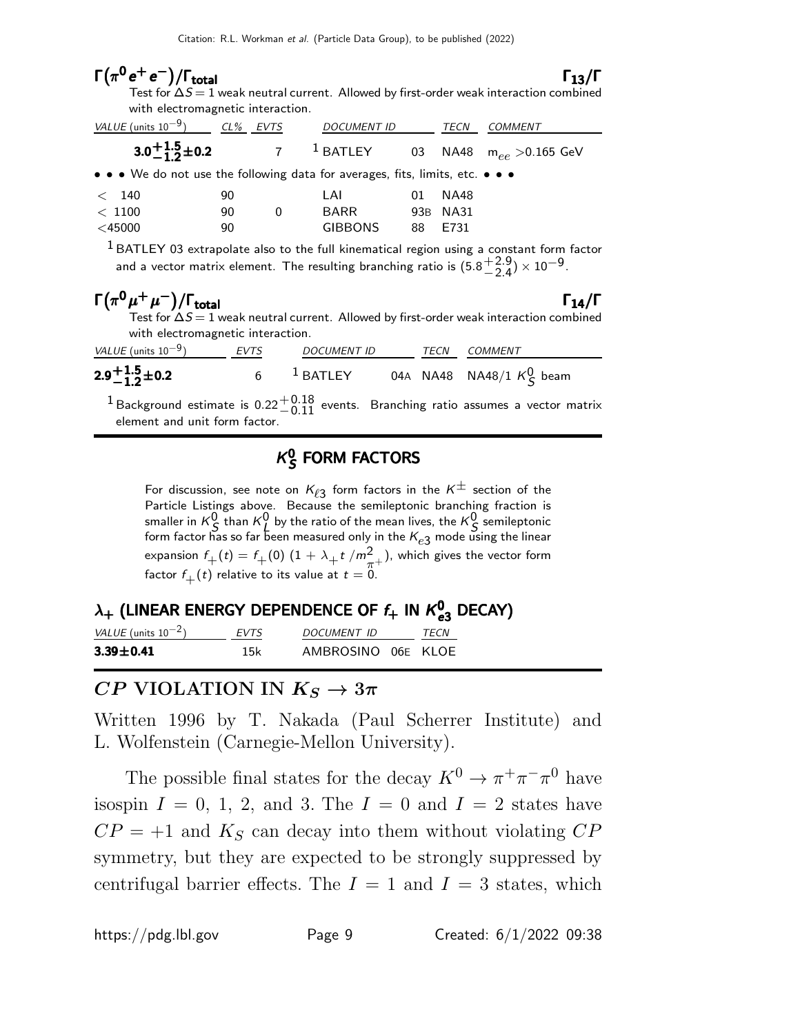#### $\Gamma(\pi^0 e^+ e^-)/\Gamma_{\text{total}}$  Γ<sub>13</sub>/Γ total and  $13/1$ Test for  $\Delta S\!=\!1$  weak neutral current. Allowed by first-order weak interaction combined with electromagnetic interaction. VALUE (units 10<sup>-9</sup>) CL% EVTS DOCUMENT ID TECN COMMENT  $3.0\substack{+1.5\-1.5}$  $3.0 + 1.5 \pm 0.2$  $3.0 + 1.5 \pm 0.2$  $3.0 + 1.5$ <br>-1.2 7  $1$  BATLEY 03 NA48 m<sub>ee</sub> > 0.165 GeV • • • We do not use the following data for averages, fits, limits, etc. • • •  $<$  140  $90$  LAI 01 NA48  $< 1100$  90 0 BARR 93B NA31 <45000 90 GIBBONS 88 E731  $^{\rm 1}$ BATLEY 03 extrapolate also to the full kinematical region using a constant form factor and a vector matrix element. The resulting branching ratio is (5.8  $+2.9$  $) \times 10^{-9}.$

|                                              |                                   |                    |      | $1$ BATLEY 03 extrapolate also to the full kinematical region using a constant form factor<br>and a vector matrix element. The resulting branching ratio is $(5.8\frac{+2.9}{2.4})\times10^{-9}$ . |
|----------------------------------------------|-----------------------------------|--------------------|------|----------------------------------------------------------------------------------------------------------------------------------------------------------------------------------------------------|
| $\Gamma(\pi^0\mu^+\mu^-)/\Gamma_{\rm total}$ | with electromagnetic interaction. |                    |      | $\Gamma_{14}/\Gamma$<br>Test for $\Delta S = 1$ weak neutral current. Allowed by first-order weak interaction combined                                                                             |
| <i>VALUE</i> (units $10^{-9}$ )              | <b>EVTS</b>                       | <b>DOCUMENT ID</b> | TECN | COMMENT                                                                                                                                                                                            |
| $2.9 + 1.5 + 0.2$                            | 6                                 |                    |      | <sup>1</sup> BATLEY 04A NA48 NA48/1 $K_S^0$ beam                                                                                                                                                   |

<sup>1</sup> Background estimate is  $0.22^{+0.18}_{-0.11}$  events. Branching ratio assumes a vector matrix element and unit form factor.

#### $\kappa$  $\frac{0}{\mathcal{S}}$  FORM FACTORS

For discussion, see note on  $K_{\ell 3}$  form factors in the  $K^{\pm}$  section of the Particle Listings above. Because the semileptonic branching fraction is smaller in  $K^0_S$  than  $K^0_L$  by the ratio of the mean lives, the  $K^0_S$  semileptonic form factor has so far been measured only in the  $\mathsf{K}_{e3}$  mode using the linear expansion  $f_+(t) = f_+(0) \ (1 + \lambda_+ t \ / m_{\frac{T}{\lambda}^+}^2)$ , which gives the vector form factor  $f_{+}(t)$  relative to its value at  $t = 0$ .

# $\lambda_+$  (LINEAR ENERGY DEPENDENCE OF  $f_+$  in  $K^0_{\bf e3}$  DECAY)

| VALUE (units $10^{-2}$ ) | <i>FVTS</i> | DOCUMENT ID        | TFCN |
|--------------------------|-------------|--------------------|------|
| $3.39 \pm 0.41$          | 15k         | AMBROSINO 06E KLOE |      |

#### CP VIOLATION IN  $K_S \rightarrow 3\pi$

Written 1996 by T. Nakada (Paul Scherrer Institute) and L. Wolfenstein (Carnegie-Mellon University).

The possible final states for the decay  $K^0 \to \pi^+ \pi^- \pi^0$  have isospin  $I = 0, 1, 2,$  and 3. The  $I = 0$  and  $I = 2$  states have  $CP = +1$  and  $K<sub>S</sub>$  can decay into them without violating  $CP$ symmetry, but they are expected to be strongly suppressed by centrifugal barrier effects. The  $I = 1$  and  $I = 3$  states, which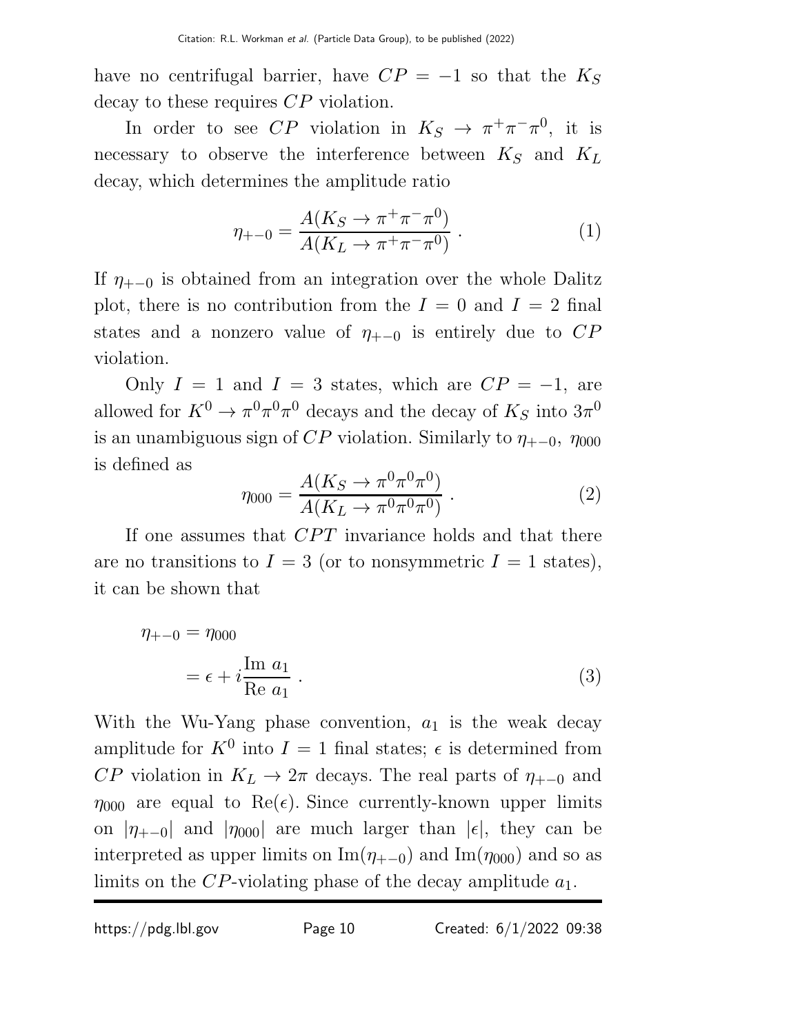have no centrifugal barrier, have  $CP = -1$  so that the  $K_S$ decay to these requires  $CP$  violation.

In order to see CP violation in  $K_S \to \pi^+\pi^-\pi^0$ , it is necessary to observe the interference between  $K_S$  and  $K_L$ decay, which determines the amplitude ratio

$$
\eta_{+-0} = \frac{A(K_S \to \pi^+ \pi^- \pi^0)}{A(K_L \to \pi^+ \pi^- \pi^0)} . \tag{1}
$$

If  $\eta_{+-0}$  is obtained from an integration over the whole Dalitz plot, there is no contribution from the  $I = 0$  and  $I = 2$  final states and a nonzero value of  $\eta_{+-0}$  is entirely due to  $CP$ violation.

Only  $I = 1$  and  $I = 3$  states, which are  $CP = -1$ , are allowed for  $K^0 \to \pi^0 \pi^0 \pi^0$  decays and the decay of  $K_S$  into  $3\pi^0$ is an unambiguous sign of  $CP$  violation. Similarly to  $\eta_{+-0}$ ,  $\eta_{000}$ is defined as

$$
\eta_{000} = \frac{A(K_S \to \pi^0 \pi^0 \pi^0)}{A(K_L \to \pi^0 \pi^0 \pi^0)} .
$$
 (2)

If one assumes that CPT invariance holds and that there are no transitions to  $I = 3$  (or to nonsymmetric  $I = 1$  states), it can be shown that

$$
\eta_{+-0} = \eta_{000}
$$
  
=  $\epsilon + i \frac{\text{Im } a_1}{\text{Re } a_1}$ . (3)

With the Wu-Yang phase convention,  $a_1$  is the weak decay amplitude for  $K^0$  into  $I = 1$  final states;  $\epsilon$  is determined from CP violation in  $K_L \to 2\pi$  decays. The real parts of  $\eta_{+-0}$  and  $\eta_{000}$  are equal to Re( $\epsilon$ ). Since currently-known upper limits on  $|\eta_{+-0}|$  and  $|\eta_{000}|$  are much larger than  $|\epsilon|$ , they can be interpreted as upper limits on Im( $\eta_{+-0}$ ) and Im( $\eta_{000}$ ) and so as limits on the CP-violating phase of the decay amplitude  $a_1$ .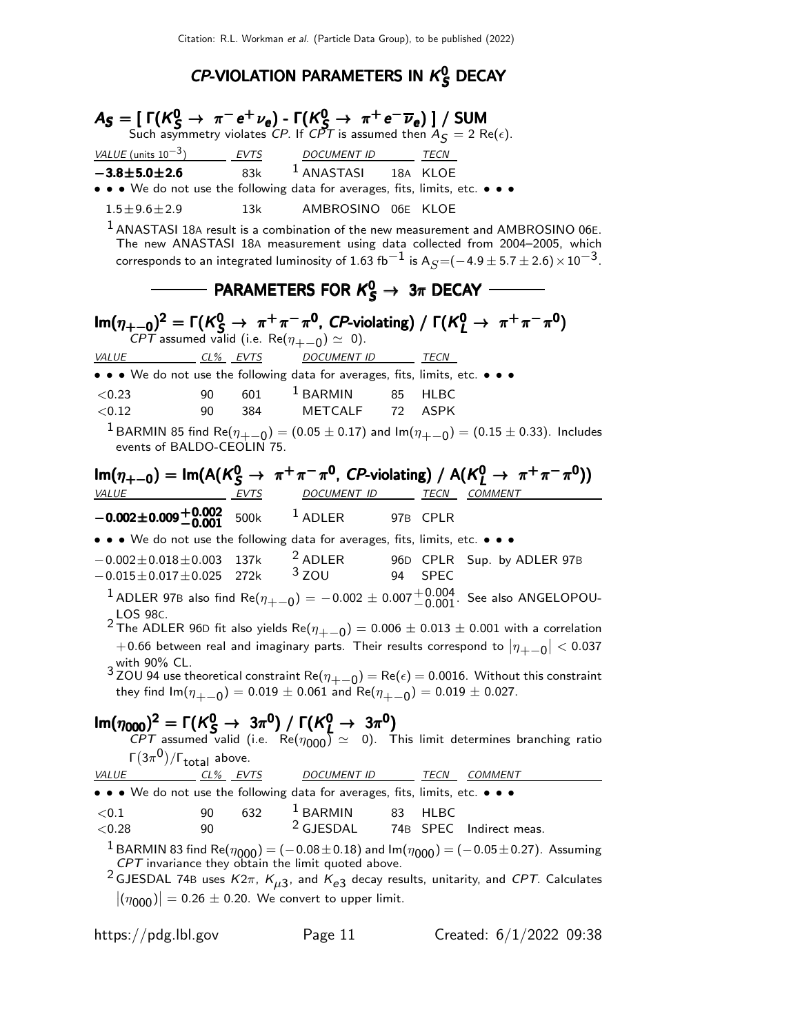# CP-VIOLATION PARAMETERS IN  $K^0_S$  DECAY

| $A_S = [\Gamma(K_S^0 \to \pi^- e^+ \nu_e) - \Gamma(K_S^0 \to \pi^+ e^- \overline{\nu}_e)] / \text{SUM}$<br>Such asymmetry violates CP. If CPT is assumed then $A_S = 2 \text{ Re}(\epsilon)$ .                                                                                                                                                                                                                                                                                                                      |                                                         |                                                                                          |                   |                                                                                                                                                                                                                                                                                                         |
|---------------------------------------------------------------------------------------------------------------------------------------------------------------------------------------------------------------------------------------------------------------------------------------------------------------------------------------------------------------------------------------------------------------------------------------------------------------------------------------------------------------------|---------------------------------------------------------|------------------------------------------------------------------------------------------|-------------------|---------------------------------------------------------------------------------------------------------------------------------------------------------------------------------------------------------------------------------------------------------------------------------------------------------|
|                                                                                                                                                                                                                                                                                                                                                                                                                                                                                                                     |                                                         |                                                                                          |                   |                                                                                                                                                                                                                                                                                                         |
| $-3.8 + 5.0 + 2.6$                                                                                                                                                                                                                                                                                                                                                                                                                                                                                                  |                                                         | $VALUE$ (units $10^{-3}$ ) EVTS DOCUMENT ID TECN<br>$\overline{83k}$ 1 ANASTASI 18A KLOE |                   |                                                                                                                                                                                                                                                                                                         |
| • • • We do not use the following data for averages, fits, limits, etc. • • •                                                                                                                                                                                                                                                                                                                                                                                                                                       |                                                         |                                                                                          |                   |                                                                                                                                                                                                                                                                                                         |
| $1.5 \pm 9.6 \pm 2.9$                                                                                                                                                                                                                                                                                                                                                                                                                                                                                               | 13k                                                     | AMBROSINO 06E KLOE                                                                       |                   |                                                                                                                                                                                                                                                                                                         |
|                                                                                                                                                                                                                                                                                                                                                                                                                                                                                                                     |                                                         |                                                                                          |                   | $1$ ANASTASI 18A result is a combination of the new measurement and AMBROSINO 06E.<br>The new ANASTASI 18A measurement using data collected from 2004-2005, which<br>corresponds to an integrated luminosity of 1.63 fb <sup>-1</sup> is A <sub>S</sub> =(-4.9 ± 5.7 ± 2.6) $\times$ 10 <sup>-3</sup> . |
|                                                                                                                                                                                                                                                                                                                                                                                                                                                                                                                     |                                                         | - PARAMETERS FOR $K^0_S \rightarrow 3\pi$ DECAY                                          |                   |                                                                                                                                                                                                                                                                                                         |
|                                                                                                                                                                                                                                                                                                                                                                                                                                                                                                                     | CPT assumed valid (i.e. Re( $\eta_{+-0}$ ) $\simeq$ 0). |                                                                                          |                   | $\text{Im}(\eta_{+-0})^2 = \Gamma(K_S^0 \to \pi^+ \pi^- \pi^0$ , CP-violating) / $\Gamma(K_L^0 \to \pi^+ \pi^- \pi^0)$                                                                                                                                                                                  |
| VALUE CL% EVTS                                                                                                                                                                                                                                                                                                                                                                                                                                                                                                      |                                                         | DOCUMENT ID TECN                                                                         |                   |                                                                                                                                                                                                                                                                                                         |
|                                                                                                                                                                                                                                                                                                                                                                                                                                                                                                                     |                                                         | • • • We do not use the following data for averages, fits, limits, etc. • • •            |                   |                                                                                                                                                                                                                                                                                                         |
| < 0.23                                                                                                                                                                                                                                                                                                                                                                                                                                                                                                              | 90                                                      | $601$ $^{\text{1}}$ BARMIN $^{\text{85}}$                                                | <b>HLBC</b>       |                                                                                                                                                                                                                                                                                                         |
| < 0.12                                                                                                                                                                                                                                                                                                                                                                                                                                                                                                              |                                                         | 90 384 METCALF 72 ASPK                                                                   |                   |                                                                                                                                                                                                                                                                                                         |
|                                                                                                                                                                                                                                                                                                                                                                                                                                                                                                                     | events of BALDO-CEOLIN 75.                              |                                                                                          |                   | <sup>1</sup> BARMIN 85 find Re( $\eta_{+-0}$ ) = (0.05 $\pm$ 0.17) and Im( $\eta_{+-0}$ ) = (0.15 $\pm$ 0.33). Includes                                                                                                                                                                                 |
|                                                                                                                                                                                                                                                                                                                                                                                                                                                                                                                     |                                                         |                                                                                          |                   | $\text{Im}(\eta_{+-0}) = \text{Im}(A(K_S^0 \to \pi^+\pi^-\pi^0, CP\text{-violating}) / A(K_I^0 \to \pi^+\pi^-\pi^0))$                                                                                                                                                                                   |
|                                                                                                                                                                                                                                                                                                                                                                                                                                                                                                                     |                                                         |                                                                                          |                   | <u>VALUE EVTS DOCUMENT ID TECN COMMENT</u>                                                                                                                                                                                                                                                              |
| $-0.002 \pm 0.009 \begin{array}{@{}c@{\thinspace}c@{\thinspace}c@{\thinspace}c@{\thinspace}c@{\thinspace}c@{\thinspace}c@{\thinspace}c@{\thinspace}c@{\thinspace}c@{\thinspace}c@{\thinspace}c@{\thinspace}c@{\thinspace}c@{\thinspace}c@{\thinspace}c@{\thinspace}c@{\thinspace}c@{\thinspace}c@{\thinspace}c@{\thinspace}c@{\thinspace}c@{\thinspace}c@{\thinspace}c@{\thinspace}c@{\thinspace}c@{\thinspace}c@{\thinspace}c@{\thinspace}c@{\thinspace}c@{\thinspace}c@{\thinspace}c@{\thinspace}c@{\thinspace}c$ |                                                         |                                                                                          |                   |                                                                                                                                                                                                                                                                                                         |
|                                                                                                                                                                                                                                                                                                                                                                                                                                                                                                                     |                                                         | • • • We do not use the following data for averages, fits, limits, etc. • • •            |                   |                                                                                                                                                                                                                                                                                                         |
| $-0.015 \pm 0.017 \pm 0.025$ 272k <sup>3</sup> ZOU 94 SPEC                                                                                                                                                                                                                                                                                                                                                                                                                                                          |                                                         |                                                                                          |                   | $-0.002 \pm 0.018 \pm 0.003$ 137k <sup>2</sup> ADLER 96D CPLR Sup. by ADLER 97B                                                                                                                                                                                                                         |
|                                                                                                                                                                                                                                                                                                                                                                                                                                                                                                                     |                                                         |                                                                                          |                   | $^1$ ADLER 97B also find Re( $\eta_{+-0}) = -0.002 \pm 0.007 {+0.004 \over -0.001}$ . See also ANGELOPOU-                                                                                                                                                                                               |
| LOS 98C.                                                                                                                                                                                                                                                                                                                                                                                                                                                                                                            |                                                         |                                                                                          |                   | <sup>2</sup> The ADLER 96D fit also yields Re( $\eta_{+-0}$ ) = 0.006 $\pm$ 0.013 $\pm$ 0.001 with a correlation                                                                                                                                                                                        |
| $\alpha$ with 90% CL.                                                                                                                                                                                                                                                                                                                                                                                                                                                                                               |                                                         |                                                                                          |                   | $+0.66$ between real and imaginary parts. Their results correspond to $\left \eta_{+-0}\right  < 0.037$                                                                                                                                                                                                 |
|                                                                                                                                                                                                                                                                                                                                                                                                                                                                                                                     |                                                         | they find $Im(\eta_{+-0}) = 0.019 \pm 0.061$ and $Re(\eta_{+-0}) = 0.019 \pm 0.027$ .    |                   | $3$ ZOU 94 use theoretical constraint Re( $\eta_{+-0}$ ) = Re( $\epsilon$ ) = 0.0016. Without this constraint                                                                                                                                                                                           |
| $\Gamma(3\pi^0)/\Gamma_{\text{total}}$ above.                                                                                                                                                                                                                                                                                                                                                                                                                                                                       |                                                         |                                                                                          |                   | $\text{Im}(\eta_{000})^2 = \Gamma(K_S^0 \to 3\pi^0) / \Gamma(K_L^0 \to 3\pi^0)$<br>CPT assumed valid (i.e. $\text{Re}(\eta_{000}) \simeq 0$ ). This limit determines branching ratio                                                                                                                    |
| <u>VALUE CL% EVTS</u>                                                                                                                                                                                                                                                                                                                                                                                                                                                                                               |                                                         |                                                                                          |                   | DOCUMENT ID TECN COMMENT                                                                                                                                                                                                                                                                                |
|                                                                                                                                                                                                                                                                                                                                                                                                                                                                                                                     |                                                         | • • • We do not use the following data for averages, fits, limits, etc. • • •            |                   |                                                                                                                                                                                                                                                                                                         |
| ${<}0.1$                                                                                                                                                                                                                                                                                                                                                                                                                                                                                                            | 632<br>90                                               | <sup>1</sup> BARMIN                                                                      | 83<br><b>HLBC</b> |                                                                                                                                                                                                                                                                                                         |
| < 0.28                                                                                                                                                                                                                                                                                                                                                                                                                                                                                                              | 90                                                      | <sup>2</sup> GJESDAL 74B SPEC Indirect meas.                                             |                   |                                                                                                                                                                                                                                                                                                         |
|                                                                                                                                                                                                                                                                                                                                                                                                                                                                                                                     |                                                         | $ (\eta_{000})  = 0.26 \pm 0.20$ . We convert to upper limit.                            |                   | <sup>1</sup> BARMIN 83 find Re( $\eta_{000}$ ) = (-0.08±0.18) and lm( $\eta_{000}$ ) = (-0.05±0.27). Assuming CPT invariance they obtain the limit quoted above.<br><sup>2</sup> GJESDAL 74B uses $K2\pi$ , $K_{\mu3}$ , and $K_{e3}$ decay results, unitarity, and CPT. Calculates                     |
|                                                                                                                                                                                                                                                                                                                                                                                                                                                                                                                     |                                                         |                                                                                          |                   |                                                                                                                                                                                                                                                                                                         |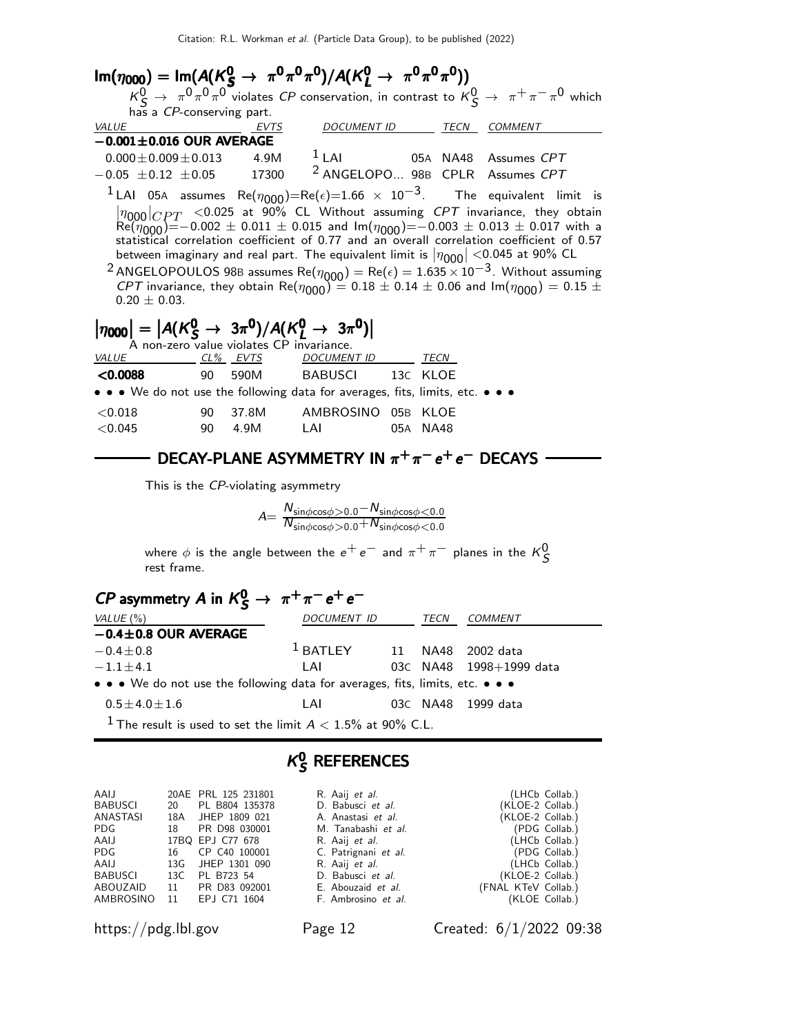| $\text{Im}(\eta_{000}) = \text{Im}(A(K_S^0 \to \pi^0 \pi^0 \pi^0)/A(K_I^0 \to \pi^0 \pi^0 \pi^0))$                     |  |                                      |  |                                                                                                                                                                                                                                                                                                                                                                                                                                                                                                                                                                                                                                                      |
|------------------------------------------------------------------------------------------------------------------------|--|--------------------------------------|--|------------------------------------------------------------------------------------------------------------------------------------------------------------------------------------------------------------------------------------------------------------------------------------------------------------------------------------------------------------------------------------------------------------------------------------------------------------------------------------------------------------------------------------------------------------------------------------------------------------------------------------------------------|
|                                                                                                                        |  |                                      |  | $K^0_S \to \pi^0 \pi^0 \pi^0$ violates CP conservation, in contrast to $K^0_S \to \pi^+ \pi^- \pi^0$ which                                                                                                                                                                                                                                                                                                                                                                                                                                                                                                                                           |
| has a CP-conserving part.                                                                                              |  |                                      |  |                                                                                                                                                                                                                                                                                                                                                                                                                                                                                                                                                                                                                                                      |
| <b>VALUE</b>                                                                                                           |  | <u>EVTS DOCUMENT ID TECN COMMENT</u> |  |                                                                                                                                                                                                                                                                                                                                                                                                                                                                                                                                                                                                                                                      |
| $-0.001 \pm 0.016$ OUR AVERAGE                                                                                         |  |                                      |  |                                                                                                                                                                                                                                                                                                                                                                                                                                                                                                                                                                                                                                                      |
| $0.000 \pm 0.009 \pm 0.013$ 4.9M <sup>1</sup> LAI 05A NA48 Assumes CPT                                                 |  |                                      |  |                                                                                                                                                                                                                                                                                                                                                                                                                                                                                                                                                                                                                                                      |
| $-0.05 \pm 0.12 \pm 0.05$ 17300 <sup>2</sup> ANGELOPO 98B CPLR Assumes CPT                                             |  |                                      |  |                                                                                                                                                                                                                                                                                                                                                                                                                                                                                                                                                                                                                                                      |
|                                                                                                                        |  |                                      |  | <sup>1</sup> LAI 05A assumes Re( $\eta_{000}$ )=Re( $\epsilon$ )=1.66 $\times$ 10 <sup>-3</sup> . The equivalent limit is                                                                                                                                                                                                                                                                                                                                                                                                                                                                                                                            |
| $0.20 \pm 0.03$ .                                                                                                      |  |                                      |  | $ \eta_{000} _{CPT}$ <0.025 at 90% CL Without assuming <i>CPT</i> invariance, they obtain Re( $\eta_{000}$ )=-0.002 $\pm$ 0.011 $\pm$ 0.015 and $\text{Im}(\eta_{000})$ =-0.003 $\pm$ 0.013 $\pm$ 0.017 with a<br>statistical correlation coefficient of 0.77 and an overall correlation coefficient of 0.57<br>between imaginary and real part. The equivalent limit is $ \eta_{000}  < 0.045$ at 90% CL<br><sup>2</sup> ANGELOPOULOS 98B assumes Re( $\eta_{000}$ ) = Re( $\epsilon$ ) = 1.635 $\times$ 10 <sup>-3</sup> . Without assuming<br>CPT invariance, they obtain Re( $\eta_{000}$ ) = 0.18 ± 0.14 ± 0.06 and Im( $\eta_{000}$ ) = 0.15 ± |
| $ \eta_{000}  =  A(K_S^0 \rightarrow 3\pi^0)/A(K_L^0 \rightarrow 3\pi^0) $<br>A non-zero value violates CP invariance. |  |                                      |  |                                                                                                                                                                                                                                                                                                                                                                                                                                                                                                                                                                                                                                                      |
| <u>VALUE CL% EVTS DOCUMENT ID TECN</u>                                                                                 |  |                                      |  |                                                                                                                                                                                                                                                                                                                                                                                                                                                                                                                                                                                                                                                      |
| <0.0088 90 590M BABUSCI 13C KLOE                                                                                       |  |                                      |  |                                                                                                                                                                                                                                                                                                                                                                                                                                                                                                                                                                                                                                                      |
| • • • We do not use the following data for averages, fits, limits, etc. • • •                                          |  |                                      |  |                                                                                                                                                                                                                                                                                                                                                                                                                                                                                                                                                                                                                                                      |
| $<$ 0.018                                                                                                              |  | 90 37.8M AMBROSINO 05B KLOE          |  |                                                                                                                                                                                                                                                                                                                                                                                                                                                                                                                                                                                                                                                      |
| ${<}0.045$                                                                                                             |  | 90   4.9M   LAI   05A   NA48         |  |                                                                                                                                                                                                                                                                                                                                                                                                                                                                                                                                                                                                                                                      |

# DECAY-PLANE ASYMMETRY IN  $\pi^+\pi^-e^+e^-$  DECAYS

This is the CP-violating asymmetry

| $A = \frac{1}{\pi}$ | $N_{\sin\phi\cos\phi>0.0} - N_{\sin\phi\cos\phi<0.0}$           |
|---------------------|-----------------------------------------------------------------|
|                     | $\overline{N_{\sin\phi\cos\phi>0.0}+N_{\sin\phi\cos\phi}<}$ 0.0 |

where  $\phi$  is the angle between the  $e^+ \, e^-$  and  $\pi^+ \, \pi^-$  planes in the  $\,{\sf K}^0_S\,$ rest frame.

# $\mathsf{CP}$  asymmetry  $\mathsf{A}$  in  $\mathsf{K}^0_\mathsf{S} \to \pi^+\pi^- \mathrm{e}^+ \mathrm{e}^-$

| VALUE (%)                                                                     | DOCUMENT ID | TECN | COMMENT                 |
|-------------------------------------------------------------------------------|-------------|------|-------------------------|
| $-0.4 \pm 0.8$ OUR AVERAGE                                                    |             |      |                         |
| $-0.4 \pm 0.8$                                                                | $^1$ BATLEY |      | 11 NA48 2002 data       |
| $-1.1 \pm 4.1$                                                                | I AI        |      | 03C NA48 1998+1999 data |
| • • • We do not use the following data for averages, fits, limits, etc. • • • |             |      |                         |
| $0.5 \pm 4.0 \pm 1.6$                                                         | LAI         |      | 03C NA48 1999 data      |
| <sup>1</sup> The result is used to set the limit $A < 1.5\%$ at 90% C.L.      |             |      |                         |

#### $K^0_c$ S REFERENCES

| AAIJ                   | 20AE PRL 125 231801       | R. Aaij et al.         |                     | (LHCb Collab.) |
|------------------------|---------------------------|------------------------|---------------------|----------------|
| BABUSCI                | 20 PL B804 135378         | D. Babusci et al.      | (KLOE-2 Collab.)    |                |
| ANASTASI               | 18A JHEP 1809 021         | A. Anastasi et al.     | (KLOE-2 Collab.)    |                |
| PDG                    | 18 PR D98 030001          | M. Tanabashi et al.    |                     | (PDG Collab.)  |
| AAIJ                   | 17BQ EPJ C77 678          | R. Aaij et al.         |                     | (LHCb Collab.) |
| PDG                    | 16 CP C40 100001          | C. Patrignani et al.   |                     | (PDG Collab.)  |
| AAIJ                   | 13G JHEP 1301 090         | R. Aaij <i>et al</i> . |                     | (LHCb Collab.) |
| BABUSCI 13C PL B723 54 |                           | D. Babusci et al.      | (KLOE-2 Collab.)    |                |
|                        | ABOUZAID 11 PR D83 092001 | E. Abouzaid et al.     | (FNAL KTeV Collab.) |                |
|                        | AMBROSINO 11 EPJ C71 1604 | F. Ambrosino et al.    |                     | (KLOE Collab.) |

|     | ۰ |
|-----|---|
| age |   |
|     |   |

https://pdg.lbl.gov Page 12 Created: 6/1/2022 09:38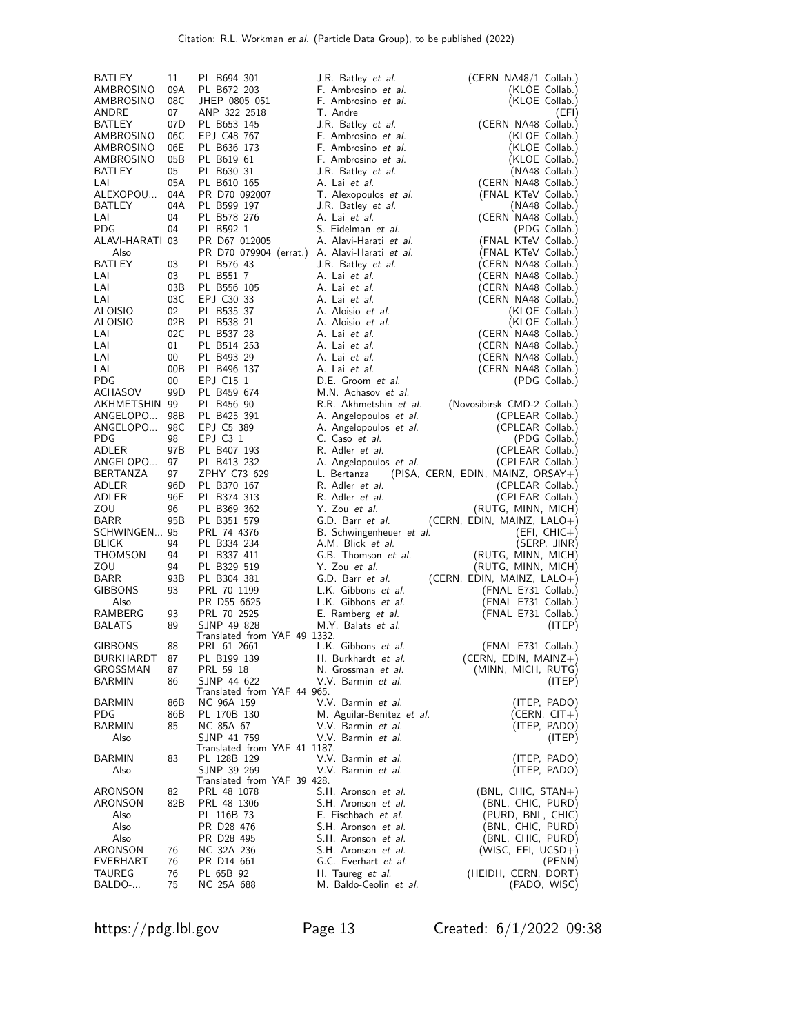| BATLEY                        | 11        | PL B694 301                                 | J.R. Batley <i>et al.</i>                  | (CERN NA48/1 Collab.)                      |
|-------------------------------|-----------|---------------------------------------------|--------------------------------------------|--------------------------------------------|
| AMBROSINO                     | 09A       | PL B672 203                                 | F. Ambrosino et al.                        | (KLOE Collab.)                             |
| AMBROSINO                     | 08C       | JHEP 0805 051                               | F. Ambrosino et al.                        | (KLOE Collab.)                             |
| ANDRE                         | 07        | ANP 322 2518                                | T. Andre                                   | (EFI)                                      |
| BATLEY                        | 07D       | PL B653 145                                 | J.R. Batley <i>et al.</i>                  | (CERN NA48 Collab.)                        |
| AMBROSINO                     | 06C       | EPJ C48 767                                 | F. Ambrosino et al.                        | (KLOE Collab.)                             |
| AMBROSINO                     | 06E       | PL B636 173                                 | F. Ambrosino et al.                        | (KLOE Collab.)                             |
| AMBROSINO                     | 05B       | PL B619 61                                  | F. Ambrosino et al.                        | (KLOE Collab.)                             |
| BATLEY                        | 05        | PL B630 31                                  | J.R. Batley et al.                         | (NA48 Collab.)                             |
| LAI                           | 05A       | PL B610 165                                 | A. Lai et al.                              | (CERN NA48 Collab.)                        |
| ALEXOPOU                      | 04A       | PR D70 092007                               | T. Alexopoulos et al.                      | (FNAL KTeV Collab.)                        |
| BATLEY                        | 04A       | PL B599 197                                 | J.R. Batley <i>et al.</i>                  | (NA48 Collab.)                             |
| LAI                           | 04        | PL B578 276                                 | A. Lai et al.                              | (CERN NA48 Collab.)                        |
| <b>PDG</b>                    | 04        | PL B592 1                                   | S. Eidelman et al.                         | (PDG Collab.)                              |
| ALAVI-HARATI 03               |           | PR D67 012005                               | A. Alavi-Harati et al.                     | (FNAL KTeV Collab.)                        |
| Also                          |           | PR D70 079904 (errat.)                      | A. Alavi-Harati et al.                     | (FNAL KTeV Collab.)                        |
| <b>BATLEY</b>                 | 03        | PL B576 43                                  | J.R. Batley et al.                         | (CERN NA48 Collab.)                        |
| LAI                           | 03        | PL B551 7                                   | A. Lai et al.                              | (CERN NA48 Collab.)                        |
| LAI                           | 03B       | PL B556 105                                 | A. Lai et al.                              | (CERN NA48 Collab.)                        |
| LAI<br><b>ALOISIO</b>         | 03C<br>02 | EPJ C30 33<br>PL B535 37                    | A. Lai et al.<br>A. Aloisio et al.         | (CERN NA48 Collab.)                        |
| <b>ALOISIO</b>                | 02B       | PL B538 21                                  | A. Aloisio et al.                          | (KLOE Collab.)<br>(KLOE Collab.)           |
| LAI                           | 02C       | PL B537 28                                  | A. Lai et al.                              | (CERN NA48 Collab.)                        |
| LAI                           | 01        | PL B514 253                                 | A. Lai et al.                              | (CERN NA48 Collab.)                        |
| LAI                           | 00        | PL B493 29                                  | A. Lai et al.                              | (CERN NA48 Collab.)                        |
| LAI                           | 00B       | PL B496 137                                 | A. Lai et al.                              | (CERN NA48 Collab.)                        |
| <b>PDG</b>                    | 00        | EPJ C15 1                                   | D.E. Groom et al.                          | (PDG Collab.)                              |
| ACHASOV                       | 99D       | PL B459 674                                 | M.N. Achasov et al.                        |                                            |
| AKHMETSHIN 99                 |           | PL B456 90                                  | R.R. Akhmetshin et al.                     | (Novosibirsk CMD-2 Collab.)                |
| ANGELOPO                      | 98B       | PL B425 391                                 | A. Angelopoulos et al.                     | (CPLEAR Collab.)                           |
| ANGELOPO                      | 98C       | EPJ C5 389                                  | A. Angelopoulos et al.                     | (CPLEAR Collab.)                           |
| <b>PDG</b>                    | 98        | EPJ C3 1                                    | C. Caso et al.                             | (PDG Collab.)                              |
| ADLER                         | 97B       | PL B407 193                                 | R. Adler et al.                            | (CPLEAR Collab.)                           |
| ANGELOPO                      | 97        | PL B413 232                                 | A. Angelopoulos et al.                     | (CPLEAR Collab.)                           |
| <b>BERTANZA</b>               | 97        | ZPHY C73 629                                | L. Bertanza                                | (PISA, CERN, EDIN, MAINZ, ORSAY+)          |
| ADLER                         | 96D       | PL B370 167                                 | R. Adler et al.                            | (CPLEAR Collab.)                           |
| ADLER                         | 96E       | PL B374 313                                 | R. Adler et al.                            | (CPLEAR Collab.)                           |
| ZOU                           | 96        | PL B369 362                                 | Y. Zou et al.                              | (RUTG, MINN, MICH)                         |
| <b>BARR</b>                   | 95B       | PL B351 579                                 | G.D. Barr et al.                           | (CERN, EDIN, MAINZ, $LALO+$ )              |
| SCHWINGEN 95                  |           | PRL 74 4376                                 | B. Schwingenheuer et al.                   | $(EFI, CHIC+)$                             |
| <b>BLICK</b>                  | 94        | PL B334 234                                 | A.M. Blick et al.                          | (SERP, JINR)                               |
| THOMSON                       | 94        | PL B337 411                                 | G.B. Thomson et al.                        | (RUTG, MINN, MICH)                         |
| ZOU                           | 94        | PL B329 519                                 | Y. Zou et al.                              | (RUTG, MINN, MICH)                         |
| <b>BARR</b><br><b>GIBBONS</b> | 93B       | PL B304 381                                 | G.D. Barr et al.                           | (CERN, EDIN, MAINZ, $LALO+$ )              |
| Also                          | 93        | PRL 70 1199<br>PR D55 6625                  | L.K. Gibbons et al.<br>L.K. Gibbons et al. | (FNAL E731 Collab.)                        |
| RAMBERG                       | 93        | PRL 70 2525                                 | E. Ramberg et al.                          | (FNAL E731 Collab.)<br>(FNAL E731 Collab.) |
| <b>BALATS</b>                 | 89        | SJNP 49 828                                 | M.Y. Balats et al.                         | (ITEP)                                     |
|                               |           | Translated from YAF 49 1332.                |                                            |                                            |
| <b>GIBBONS</b>                | 88        | PRL 61 2661                                 | L.K. Gibbons et al.                        | (FNAL E731 Collab.)                        |
| BURKHARDT                     | 87        | PL B199 139                                 | H. Burkhardt <i>et al.</i>                 | (CERN, EDIN, MAINZ+)                       |
| GROSSMAN                      | 87        | PRL 59 18                                   | N. Grossman et al.                         | (MINN, MICH, RUTG)                         |
| <b>BARMIN</b>                 | 86        | SJNP 44 622                                 | V.V. Barmin et al.                         | (ITER)                                     |
|                               |           | Translated from YAF 44 965.                 |                                            |                                            |
| <b>BARMIN</b>                 | 86B       | NC 96A 159                                  | V.V. Barmin et al.                         | (ITEP, PADO)                               |
| <b>PDG</b>                    | 86B       | PL 170B 130                                 | M. Aguilar-Benitez et al.                  | $(CERN, CIT+)$                             |
| <b>BARMIN</b>                 | 85        | NC 85A 67                                   | V.V. Barmin et al.                         | (ITEP, PADO)                               |
| Also                          |           | SJNP 41 759<br>Translated from YAF 41 1187. | V.V. Barmin et al.                         | (ITEP)                                     |
| <b>BARMIN</b>                 | 83        | PL 128B 129                                 | V.V. Barmin et al.                         | (ITEP, PADO)                               |
| Also                          |           | SJNP 39 269                                 | V.V. Barmin et al.                         | (ITEP, PADO)                               |
|                               |           | Translated from YAF 39 428.                 |                                            |                                            |
| ARONSON                       | 82        | PRL 48 1078                                 | S.H. Aronson et al.                        | $(BNL, CHIC, STAN+)$                       |
| ARONSON                       | 82B       | PRL 48 1306                                 | S.H. Aronson et al.                        | (BNL, CHIC, PURD)                          |
| Also                          |           | PL 116B 73                                  | E. Fischbach et al.                        | (PURD, BNL, CHIC)                          |
| Also                          |           | PR D28 476                                  | S.H. Aronson et al.                        | (BNL, CHIC, PURD)                          |
| Also                          |           | PR D28 495                                  | S.H. Aronson et al.                        | (BNL, CHIC, PURD)                          |
| ARONSON                       | 76        | NC 32A 236                                  | S.H. Aronson et al.                        | $(WISC, EFI, UCSD+)$                       |
| <b>EVERHART</b>               | 76        | PR D14 661                                  | G.C. Everhart et al.                       | (PENN)                                     |
| TAUREG                        | 76        | PL 65B 92                                   | H. Taureg et al.                           | (HEIDH, CERN, DORT)                        |
| BALDO-                        | 75        | NC 25A 688                                  | M. Baldo-Ceolin et al.                     | (PADO, WISC)                               |